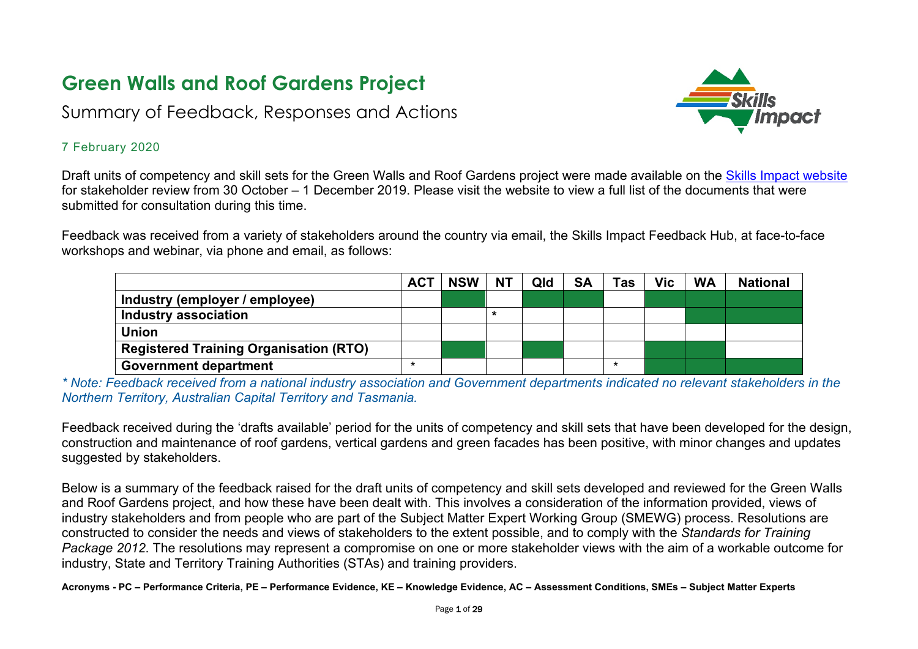# **Green Walls and Roof Gardens Project**

## Summary of Feedback, Responses and Actions



#### 7 February 2020

Draft units of competency and skill sets for the Green Walls and Roof Gardens project were made available on the [Skills Impact website](https://www.skillsimpact.com.au/horticulture-conservation-and-land-management/training-package-projects/green-walls-rooftop-gardens-project/) for stakeholder review from 30 October – 1 December 2019. Please visit the website to view a full list of the documents that were submitted for consultation during this time.

Feedback was received from a variety of stakeholders around the country via email, the Skills Impact Feedback Hub, at face-to-face workshops and webinar, via phone and email, as follows:

|                                               | <b>ACT</b> | <b>NSW</b> | <b>NT</b> | Qld | <b>SA</b> | <b>Tas</b> | Vic | <b>WA</b> | <b>National</b> |
|-----------------------------------------------|------------|------------|-----------|-----|-----------|------------|-----|-----------|-----------------|
| Industry (employer / employee)                |            |            |           |     |           |            |     |           |                 |
| Industry association                          |            |            |           |     |           |            |     |           |                 |
| <b>Union</b>                                  |            |            |           |     |           |            |     |           |                 |
| <b>Registered Training Organisation (RTO)</b> |            |            |           |     |           |            |     |           |                 |
| <b>Government department</b>                  | ×          |            |           |     |           | ×          |     |           |                 |

*\* Note: Feedback received from a national industry association and Government departments indicated no relevant stakeholders in the Northern Territory, Australian Capital Territory and Tasmania.* 

Feedback received during the 'drafts available' period for the units of competency and skill sets that have been developed for the design, construction and maintenance of roof gardens, vertical gardens and green facades has been positive, with minor changes and updates suggested by stakeholders.

Below is a summary of the feedback raised for the draft units of competency and skill sets developed and reviewed for the Green Walls and Roof Gardens project, and how these have been dealt with. This involves a consideration of the information provided, views of industry stakeholders and from people who are part of the Subject Matter Expert Working Group (SMEWG) process. Resolutions are constructed to consider the needs and views of stakeholders to the extent possible, and to comply with the *Standards for Training Package 2012*. The resolutions may represent a compromise on one or more stakeholder views with the aim of a workable outcome for industry, State and Territory Training Authorities (STAs) and training providers.

**Acronyms - PC – Performance Criteria, PE – Performance Evidence, KE – Knowledge Evidence, AC – Assessment Conditions, SMEs – Subject Matter Experts**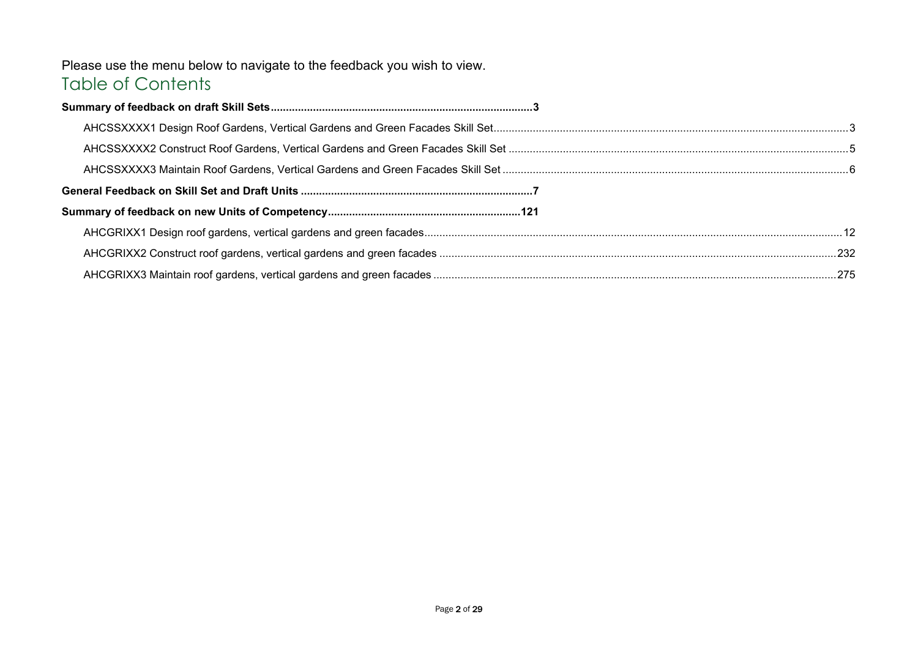### Please use the menu below to navigate to the feedback you wish to view. Table of Contents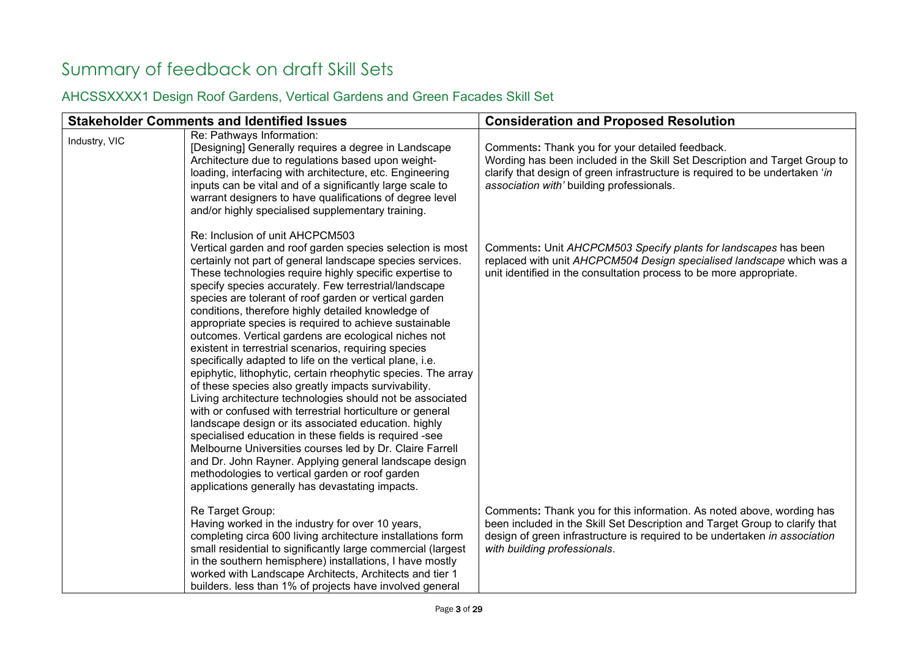# <span id="page-2-0"></span>Summary of feedback on draft Skill Sets

### <span id="page-2-1"></span>AHCSSXXXX1 Design Roof Gardens, Vertical Gardens and Green Facades Skill Set

|               | <b>Stakeholder Comments and Identified Issues</b>                                                                                                                                                                                                                                                                                                                                                                                                                                                                                                                                                                                                                                                                                                                                                                                                                                                                                                                                                                                                                                                                                                                                                                                    | <b>Consideration and Proposed Resolution</b>                                                                                                                                                                                                                       |
|---------------|--------------------------------------------------------------------------------------------------------------------------------------------------------------------------------------------------------------------------------------------------------------------------------------------------------------------------------------------------------------------------------------------------------------------------------------------------------------------------------------------------------------------------------------------------------------------------------------------------------------------------------------------------------------------------------------------------------------------------------------------------------------------------------------------------------------------------------------------------------------------------------------------------------------------------------------------------------------------------------------------------------------------------------------------------------------------------------------------------------------------------------------------------------------------------------------------------------------------------------------|--------------------------------------------------------------------------------------------------------------------------------------------------------------------------------------------------------------------------------------------------------------------|
| Industry, VIC | Re: Pathways Information:<br>[Designing] Generally requires a degree in Landscape<br>Architecture due to regulations based upon weight-<br>loading, interfacing with architecture, etc. Engineering<br>inputs can be vital and of a significantly large scale to<br>warrant designers to have qualifications of degree level<br>and/or highly specialised supplementary training.                                                                                                                                                                                                                                                                                                                                                                                                                                                                                                                                                                                                                                                                                                                                                                                                                                                    | Comments: Thank you for your detailed feedback.<br>Wording has been included in the Skill Set Description and Target Group to<br>clarify that design of green infrastructure is required to be undertaken 'in<br>association with' building professionals.         |
|               | Re: Inclusion of unit AHCPCM503<br>Vertical garden and roof garden species selection is most<br>certainly not part of general landscape species services.<br>These technologies require highly specific expertise to<br>specify species accurately. Few terrestrial/landscape<br>species are tolerant of roof garden or vertical garden<br>conditions, therefore highly detailed knowledge of<br>appropriate species is required to achieve sustainable<br>outcomes. Vertical gardens are ecological niches not<br>existent in terrestrial scenarios, requiring species<br>specifically adapted to life on the vertical plane, i.e.<br>epiphytic, lithophytic, certain rheophytic species. The array<br>of these species also greatly impacts survivability.<br>Living architecture technologies should not be associated<br>with or confused with terrestrial horticulture or general<br>landscape design or its associated education. highly<br>specialised education in these fields is required -see<br>Melbourne Universities courses led by Dr. Claire Farrell<br>and Dr. John Rayner. Applying general landscape design<br>methodologies to vertical garden or roof garden<br>applications generally has devastating impacts. | Comments: Unit AHCPCM503 Specify plants for landscapes has been<br>replaced with unit AHCPCM504 Design specialised landscape which was a<br>unit identified in the consultation process to be more appropriate.                                                    |
|               | Re Target Group:<br>Having worked in the industry for over 10 years,<br>completing circa 600 living architecture installations form<br>small residential to significantly large commercial (largest<br>in the southern hemisphere) installations, I have mostly<br>worked with Landscape Architects, Architects and tier 1<br>builders. less than 1% of projects have involved general                                                                                                                                                                                                                                                                                                                                                                                                                                                                                                                                                                                                                                                                                                                                                                                                                                               | Comments: Thank you for this information. As noted above, wording has<br>been included in the Skill Set Description and Target Group to clarify that<br>design of green infrastructure is required to be undertaken in association<br>with building professionals. |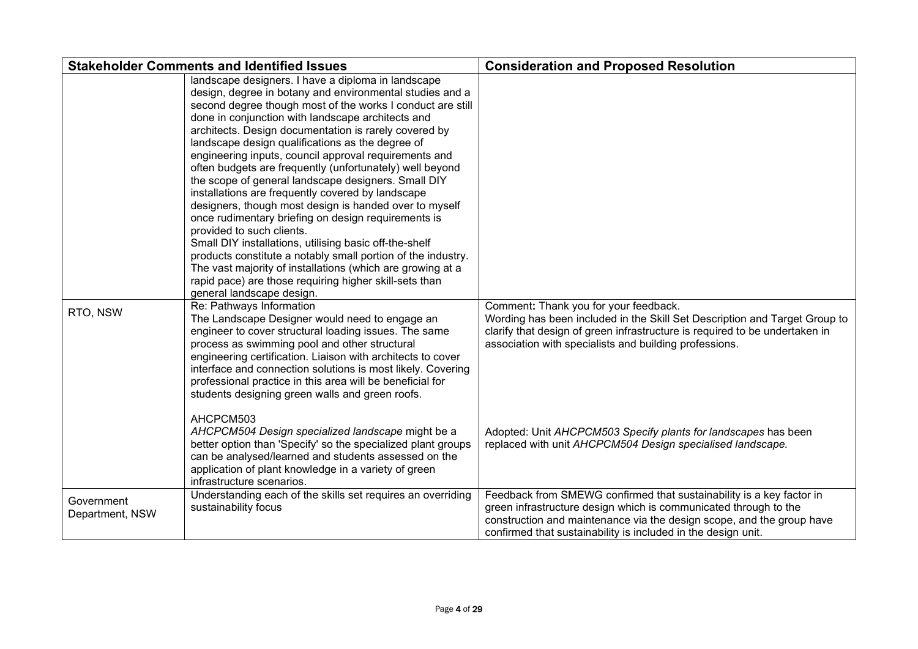|                               | <b>Stakeholder Comments and Identified Issues</b>                                                                                                                                                                                                                                                                                                                                                                                                                                                                                                                                                                                                                                                                                                                                                                                                                                                                                                                                                            | <b>Consideration and Proposed Resolution</b>                                                                                                                                                                                                                                                                                                                                                 |
|-------------------------------|--------------------------------------------------------------------------------------------------------------------------------------------------------------------------------------------------------------------------------------------------------------------------------------------------------------------------------------------------------------------------------------------------------------------------------------------------------------------------------------------------------------------------------------------------------------------------------------------------------------------------------------------------------------------------------------------------------------------------------------------------------------------------------------------------------------------------------------------------------------------------------------------------------------------------------------------------------------------------------------------------------------|----------------------------------------------------------------------------------------------------------------------------------------------------------------------------------------------------------------------------------------------------------------------------------------------------------------------------------------------------------------------------------------------|
|                               | landscape designers. I have a diploma in landscape<br>design, degree in botany and environmental studies and a<br>second degree though most of the works I conduct are still<br>done in conjunction with landscape architects and<br>architects. Design documentation is rarely covered by<br>landscape design qualifications as the degree of<br>engineering inputs, council approval requirements and<br>often budgets are frequently (unfortunately) well beyond<br>the scope of general landscape designers. Small DIY<br>installations are frequently covered by landscape<br>designers, though most design is handed over to myself<br>once rudimentary briefing on design requirements is<br>provided to such clients.<br>Small DIY installations, utilising basic off-the-shelf<br>products constitute a notably small portion of the industry.<br>The vast majority of installations (which are growing at a<br>rapid pace) are those requiring higher skill-sets than<br>general landscape design. |                                                                                                                                                                                                                                                                                                                                                                                              |
| RTO, NSW                      | Re: Pathways Information<br>The Landscape Designer would need to engage an<br>engineer to cover structural loading issues. The same<br>process as swimming pool and other structural<br>engineering certification. Liaison with architects to cover<br>interface and connection solutions is most likely. Covering<br>professional practice in this area will be beneficial for<br>students designing green walls and green roofs.<br>AHCPCM503<br>AHCPCM504 Design specialized landscape might be a<br>better option than 'Specify' so the specialized plant groups<br>can be analysed/learned and students assessed on the<br>application of plant knowledge in a variety of green                                                                                                                                                                                                                                                                                                                         | Comment: Thank you for your feedback.<br>Wording has been included in the Skill Set Description and Target Group to<br>clarify that design of green infrastructure is required to be undertaken in<br>association with specialists and building professions.<br>Adopted: Unit AHCPCM503 Specify plants for landscapes has been<br>replaced with unit AHCPCM504 Design specialised landscape. |
|                               | infrastructure scenarios.                                                                                                                                                                                                                                                                                                                                                                                                                                                                                                                                                                                                                                                                                                                                                                                                                                                                                                                                                                                    |                                                                                                                                                                                                                                                                                                                                                                                              |
| Government<br>Department, NSW | Understanding each of the skills set requires an overriding<br>sustainability focus                                                                                                                                                                                                                                                                                                                                                                                                                                                                                                                                                                                                                                                                                                                                                                                                                                                                                                                          | Feedback from SMEWG confirmed that sustainability is a key factor in<br>green infrastructure design which is communicated through to the<br>construction and maintenance via the design scope, and the group have<br>confirmed that sustainability is included in the design unit.                                                                                                           |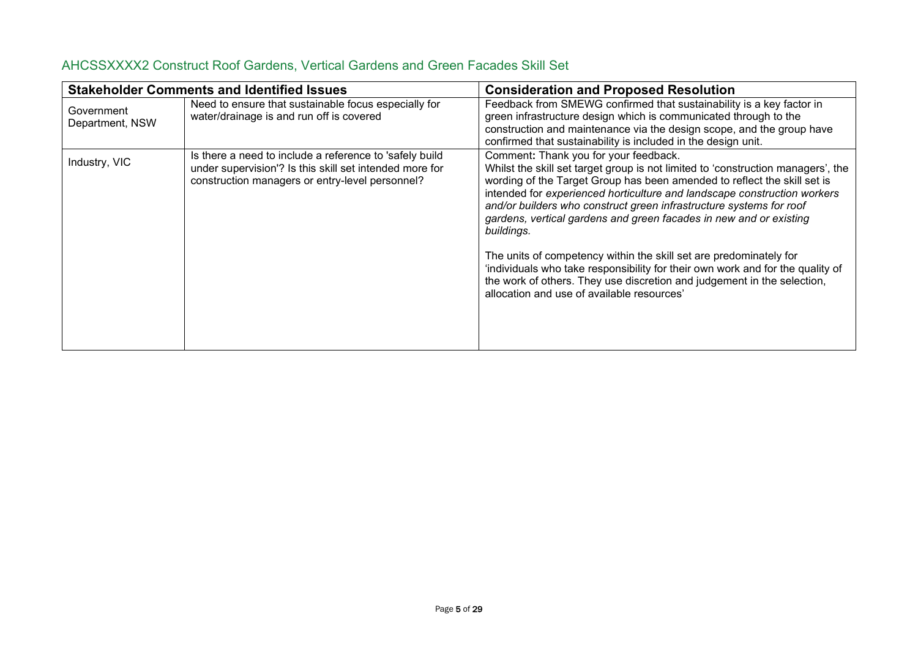|                               | <b>Stakeholder Comments and Identified Issues</b>                                                                                                                     | <b>Consideration and Proposed Resolution</b>                                                                                                                                                                                                                                                                                                                                                                                                                                                                                                                                                                                                                                                                                  |
|-------------------------------|-----------------------------------------------------------------------------------------------------------------------------------------------------------------------|-------------------------------------------------------------------------------------------------------------------------------------------------------------------------------------------------------------------------------------------------------------------------------------------------------------------------------------------------------------------------------------------------------------------------------------------------------------------------------------------------------------------------------------------------------------------------------------------------------------------------------------------------------------------------------------------------------------------------------|
| Government<br>Department, NSW | Need to ensure that sustainable focus especially for<br>water/drainage is and run off is covered                                                                      | Feedback from SMEWG confirmed that sustainability is a key factor in<br>green infrastructure design which is communicated through to the<br>construction and maintenance via the design scope, and the group have<br>confirmed that sustainability is included in the design unit.                                                                                                                                                                                                                                                                                                                                                                                                                                            |
| Industry, VIC                 | Is there a need to include a reference to 'safely build<br>under supervision'? Is this skill set intended more for<br>construction managers or entry-level personnel? | Comment: Thank you for your feedback.<br>Whilst the skill set target group is not limited to 'construction managers', the<br>wording of the Target Group has been amended to reflect the skill set is<br>intended for experienced horticulture and landscape construction workers<br>and/or builders who construct green infrastructure systems for roof<br>gardens, vertical gardens and green facades in new and or existing<br>buildings.<br>The units of competency within the skill set are predominately for<br>'individuals who take responsibility for their own work and for the quality of<br>the work of others. They use discretion and judgement in the selection,<br>allocation and use of available resources' |

### <span id="page-4-0"></span>AHCSSXXXX2 Construct Roof Gardens, Vertical Gardens and Green Facades Skill Set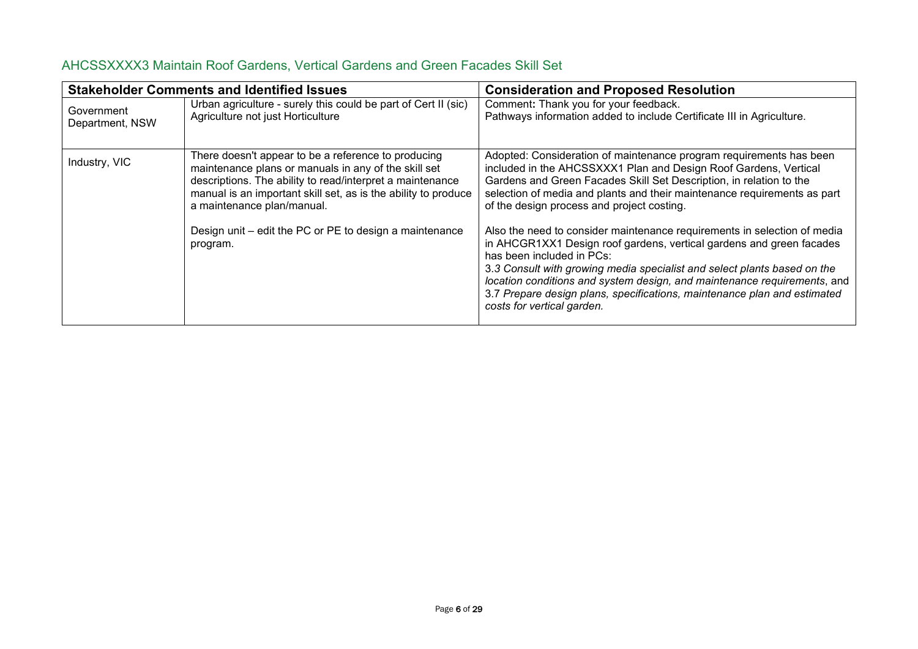| <b>Stakeholder Comments and Identified Issues</b> |                                                                                                                                                                                                                                                                                                                                                 | <b>Consideration and Proposed Resolution</b>                                                                                                                                                                                                                                                                                                                                                                                                                                                                                                                                                                                                                                      |
|---------------------------------------------------|-------------------------------------------------------------------------------------------------------------------------------------------------------------------------------------------------------------------------------------------------------------------------------------------------------------------------------------------------|-----------------------------------------------------------------------------------------------------------------------------------------------------------------------------------------------------------------------------------------------------------------------------------------------------------------------------------------------------------------------------------------------------------------------------------------------------------------------------------------------------------------------------------------------------------------------------------------------------------------------------------------------------------------------------------|
| Government<br>Department, NSW                     | Urban agriculture - surely this could be part of Cert II (sic)<br>Agriculture not just Horticulture                                                                                                                                                                                                                                             | Comment: Thank you for your feedback.<br>Pathways information added to include Certificate III in Agriculture.                                                                                                                                                                                                                                                                                                                                                                                                                                                                                                                                                                    |
| Industry, VIC                                     | There doesn't appear to be a reference to producing<br>maintenance plans or manuals in any of the skill set<br>descriptions. The ability to read/interpret a maintenance<br>manual is an important skill set, as is the ability to produce<br>a maintenance plan/manual.<br>Design unit – edit the PC or PE to design a maintenance<br>program. | Adopted: Consideration of maintenance program requirements has been<br>included in the AHCSSXXX1 Plan and Design Roof Gardens, Vertical<br>Gardens and Green Facades Skill Set Description, in relation to the<br>selection of media and plants and their maintenance requirements as part<br>of the design process and project costing.<br>Also the need to consider maintenance requirements in selection of media<br>in AHCGR1XX1 Design roof gardens, vertical gardens and green facades<br>has been included in PCs:<br>3.3 Consult with growing media specialist and select plants based on the<br>location conditions and system design, and maintenance requirements, and |
|                                                   |                                                                                                                                                                                                                                                                                                                                                 | 3.7 Prepare design plans, specifications, maintenance plan and estimated<br>costs for vertical garden.                                                                                                                                                                                                                                                                                                                                                                                                                                                                                                                                                                            |

### <span id="page-5-0"></span>AHCSSXXXX3 Maintain Roof Gardens, Vertical Gardens and Green Facades Skill Set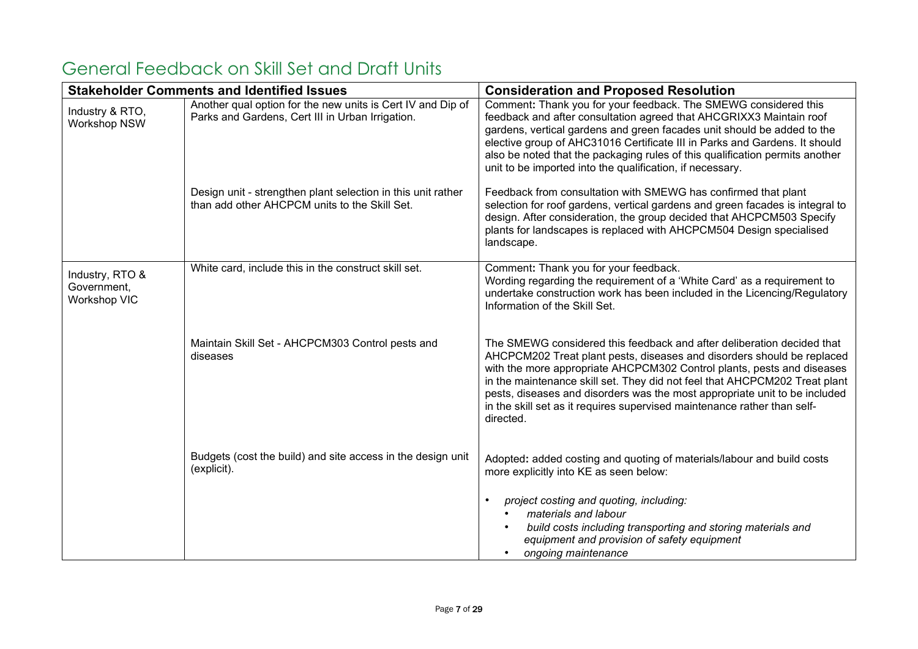|                                                | <b>Stakeholder Comments and Identified Issues</b>                                                               | <b>Consideration and Proposed Resolution</b>                                                                                                                                                                                                                                                                                                                                                                                                                                    |
|------------------------------------------------|-----------------------------------------------------------------------------------------------------------------|---------------------------------------------------------------------------------------------------------------------------------------------------------------------------------------------------------------------------------------------------------------------------------------------------------------------------------------------------------------------------------------------------------------------------------------------------------------------------------|
| Industry & RTO,<br><b>Workshop NSW</b>         | Another qual option for the new units is Cert IV and Dip of<br>Parks and Gardens, Cert III in Urban Irrigation. | Comment: Thank you for your feedback. The SMEWG considered this<br>feedback and after consultation agreed that AHCGRIXX3 Maintain roof<br>gardens, vertical gardens and green facades unit should be added to the<br>elective group of AHC31016 Certificate III in Parks and Gardens. It should<br>also be noted that the packaging rules of this qualification permits another<br>unit to be imported into the qualification, if necessary.                                    |
|                                                | Design unit - strengthen plant selection in this unit rather<br>than add other AHCPCM units to the Skill Set.   | Feedback from consultation with SMEWG has confirmed that plant<br>selection for roof gardens, vertical gardens and green facades is integral to<br>design. After consideration, the group decided that AHCPCM503 Specify<br>plants for landscapes is replaced with AHCPCM504 Design specialised<br>landscape.                                                                                                                                                                   |
| Industry, RTO &<br>Government,<br>Workshop VIC | White card, include this in the construct skill set.                                                            | Comment: Thank you for your feedback.<br>Wording regarding the requirement of a 'White Card' as a requirement to<br>undertake construction work has been included in the Licencing/Regulatory<br>Information of the Skill Set.                                                                                                                                                                                                                                                  |
|                                                | Maintain Skill Set - AHCPCM303 Control pests and<br>diseases                                                    | The SMEWG considered this feedback and after deliberation decided that<br>AHCPCM202 Treat plant pests, diseases and disorders should be replaced<br>with the more appropriate AHCPCM302 Control plants, pests and diseases<br>in the maintenance skill set. They did not feel that AHCPCM202 Treat plant<br>pests, diseases and disorders was the most appropriate unit to be included<br>in the skill set as it requires supervised maintenance rather than self-<br>directed. |
|                                                | Budgets (cost the build) and site access in the design unit<br>(explicit).                                      | Adopted: added costing and quoting of materials/labour and build costs<br>more explicitly into KE as seen below:                                                                                                                                                                                                                                                                                                                                                                |
|                                                |                                                                                                                 | project costing and quoting, including:<br>materials and labour<br>build costs including transporting and storing materials and<br>equipment and provision of safety equipment<br>ongoing maintenance                                                                                                                                                                                                                                                                           |

## <span id="page-6-0"></span>General Feedback on Skill Set and Draft Units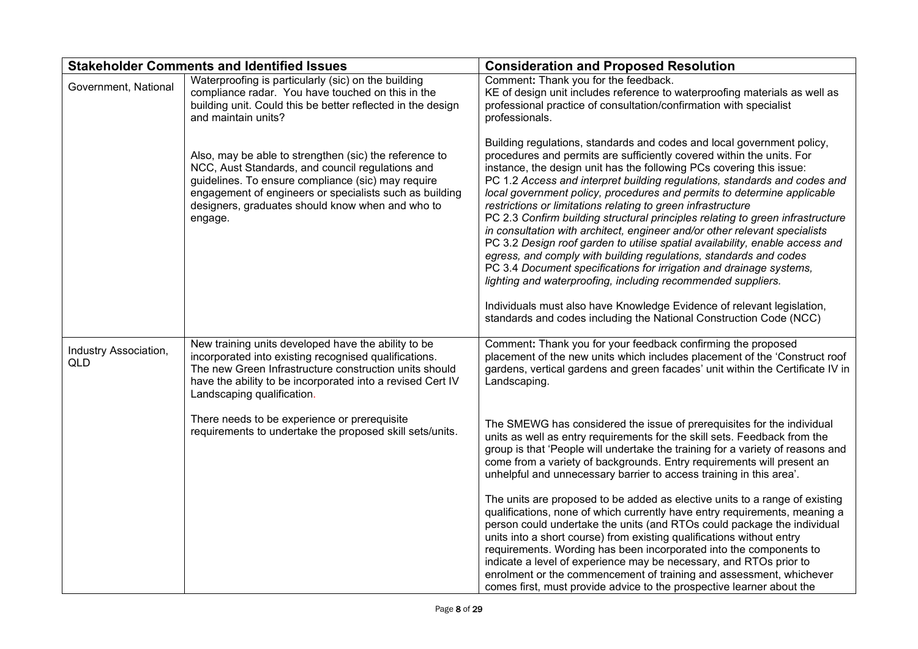|                                     | <b>Stakeholder Comments and Identified Issues</b>                                                                                                                                                                                                                                          | <b>Consideration and Proposed Resolution</b>                                                                                                                                                                                                                                                                                                                                                                                                                                                                                                                                                                                                                                                                                                                                                                                                                                                                                                                                                                                                                |
|-------------------------------------|--------------------------------------------------------------------------------------------------------------------------------------------------------------------------------------------------------------------------------------------------------------------------------------------|-------------------------------------------------------------------------------------------------------------------------------------------------------------------------------------------------------------------------------------------------------------------------------------------------------------------------------------------------------------------------------------------------------------------------------------------------------------------------------------------------------------------------------------------------------------------------------------------------------------------------------------------------------------------------------------------------------------------------------------------------------------------------------------------------------------------------------------------------------------------------------------------------------------------------------------------------------------------------------------------------------------------------------------------------------------|
| Government, National                | Waterproofing is particularly (sic) on the building<br>compliance radar. You have touched on this in the<br>building unit. Could this be better reflected in the design<br>and maintain units?                                                                                             | Comment: Thank you for the feedback.<br>KE of design unit includes reference to waterproofing materials as well as<br>professional practice of consultation/confirmation with specialist<br>professionals.                                                                                                                                                                                                                                                                                                                                                                                                                                                                                                                                                                                                                                                                                                                                                                                                                                                  |
|                                     | Also, may be able to strengthen (sic) the reference to<br>NCC, Aust Standards, and council regulations and<br>guidelines. To ensure compliance (sic) may require<br>engagement of engineers or specialists such as building<br>designers, graduates should know when and who to<br>engage. | Building regulations, standards and codes and local government policy,<br>procedures and permits are sufficiently covered within the units. For<br>instance, the design unit has the following PCs covering this issue:<br>PC 1.2 Access and interpret building regulations, standards and codes and<br>local government policy, procedures and permits to determine applicable<br>restrictions or limitations relating to green infrastructure<br>PC 2.3 Confirm building structural principles relating to green infrastructure<br>in consultation with architect, engineer and/or other relevant specialists<br>PC 3.2 Design roof garden to utilise spatial availability, enable access and<br>egress, and comply with building regulations, standards and codes<br>PC 3.4 Document specifications for irrigation and drainage systems,<br>lighting and waterproofing, including recommended suppliers.<br>Individuals must also have Knowledge Evidence of relevant legislation,<br>standards and codes including the National Construction Code (NCC) |
|                                     |                                                                                                                                                                                                                                                                                            |                                                                                                                                                                                                                                                                                                                                                                                                                                                                                                                                                                                                                                                                                                                                                                                                                                                                                                                                                                                                                                                             |
| Industry Association,<br><b>QLD</b> | New training units developed have the ability to be<br>incorporated into existing recognised qualifications.<br>The new Green Infrastructure construction units should<br>have the ability to be incorporated into a revised Cert IV<br>Landscaping qualification.                         | Comment: Thank you for your feedback confirming the proposed<br>placement of the new units which includes placement of the 'Construct roof<br>gardens, vertical gardens and green facades' unit within the Certificate IV in<br>Landscaping.                                                                                                                                                                                                                                                                                                                                                                                                                                                                                                                                                                                                                                                                                                                                                                                                                |
|                                     | There needs to be experience or prerequisite<br>requirements to undertake the proposed skill sets/units.                                                                                                                                                                                   | The SMEWG has considered the issue of prerequisites for the individual<br>units as well as entry requirements for the skill sets. Feedback from the<br>group is that 'People will undertake the training for a variety of reasons and<br>come from a variety of backgrounds. Entry requirements will present an<br>unhelpful and unnecessary barrier to access training in this area'.                                                                                                                                                                                                                                                                                                                                                                                                                                                                                                                                                                                                                                                                      |
|                                     |                                                                                                                                                                                                                                                                                            | The units are proposed to be added as elective units to a range of existing<br>qualifications, none of which currently have entry requirements, meaning a<br>person could undertake the units (and RTOs could package the individual<br>units into a short course) from existing qualifications without entry<br>requirements. Wording has been incorporated into the components to<br>indicate a level of experience may be necessary, and RTOs prior to<br>enrolment or the commencement of training and assessment, whichever<br>comes first, must provide advice to the prospective learner about the                                                                                                                                                                                                                                                                                                                                                                                                                                                   |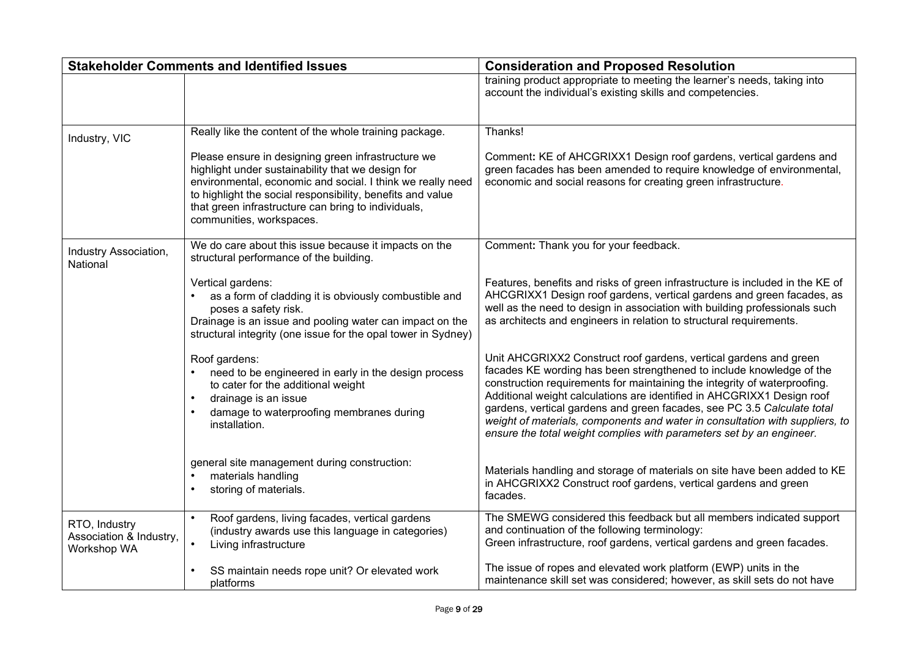|                                                         | <b>Stakeholder Comments and Identified Issues</b>                                                                                                                                                                                                                                                                      | <b>Consideration and Proposed Resolution</b>                                                                                                                                                                                                                                                                                                                                                                                                                                                                                        |
|---------------------------------------------------------|------------------------------------------------------------------------------------------------------------------------------------------------------------------------------------------------------------------------------------------------------------------------------------------------------------------------|-------------------------------------------------------------------------------------------------------------------------------------------------------------------------------------------------------------------------------------------------------------------------------------------------------------------------------------------------------------------------------------------------------------------------------------------------------------------------------------------------------------------------------------|
|                                                         |                                                                                                                                                                                                                                                                                                                        | training product appropriate to meeting the learner's needs, taking into<br>account the individual's existing skills and competencies.                                                                                                                                                                                                                                                                                                                                                                                              |
| Industry, VIC                                           | Really like the content of the whole training package.                                                                                                                                                                                                                                                                 | Thanks!                                                                                                                                                                                                                                                                                                                                                                                                                                                                                                                             |
|                                                         | Please ensure in designing green infrastructure we<br>highlight under sustainability that we design for<br>environmental, economic and social. I think we really need<br>to highlight the social responsibility, benefits and value<br>that green infrastructure can bring to individuals,<br>communities, workspaces. | Comment: KE of AHCGRIXX1 Design roof gardens, vertical gardens and<br>green facades has been amended to require knowledge of environmental,<br>economic and social reasons for creating green infrastructure.                                                                                                                                                                                                                                                                                                                       |
| Industry Association,<br>National                       | We do care about this issue because it impacts on the<br>structural performance of the building.                                                                                                                                                                                                                       | Comment: Thank you for your feedback.                                                                                                                                                                                                                                                                                                                                                                                                                                                                                               |
|                                                         | Vertical gardens:<br>as a form of cladding it is obviously combustible and<br>poses a safety risk.<br>Drainage is an issue and pooling water can impact on the<br>structural integrity (one issue for the opal tower in Sydney)                                                                                        | Features, benefits and risks of green infrastructure is included in the KE of<br>AHCGRIXX1 Design roof gardens, vertical gardens and green facades, as<br>well as the need to design in association with building professionals such<br>as architects and engineers in relation to structural requirements.                                                                                                                                                                                                                         |
|                                                         | Roof gardens:<br>need to be engineered in early in the design process<br>to cater for the additional weight<br>drainage is an issue<br>damage to waterproofing membranes during<br>installation.                                                                                                                       | Unit AHCGRIXX2 Construct roof gardens, vertical gardens and green<br>facades KE wording has been strengthened to include knowledge of the<br>construction requirements for maintaining the integrity of waterproofing.<br>Additional weight calculations are identified in AHCGRIXX1 Design roof<br>gardens, vertical gardens and green facades, see PC 3.5 Calculate total<br>weight of materials, components and water in consultation with suppliers, to<br>ensure the total weight complies with parameters set by an engineer. |
|                                                         | general site management during construction:<br>materials handling<br>storing of materials.                                                                                                                                                                                                                            | Materials handling and storage of materials on site have been added to KE<br>in AHCGRIXX2 Construct roof gardens, vertical gardens and green<br>facades.                                                                                                                                                                                                                                                                                                                                                                            |
| RTO, Industry<br>Association & Industry,<br>Workshop WA | Roof gardens, living facades, vertical gardens<br>$\bullet$<br>(industry awards use this language in categories)<br>Living infrastructure<br>$\bullet$                                                                                                                                                                 | The SMEWG considered this feedback but all members indicated support<br>and continuation of the following terminology:<br>Green infrastructure, roof gardens, vertical gardens and green facades.                                                                                                                                                                                                                                                                                                                                   |
|                                                         | SS maintain needs rope unit? Or elevated work<br>platforms                                                                                                                                                                                                                                                             | The issue of ropes and elevated work platform (EWP) units in the<br>maintenance skill set was considered; however, as skill sets do not have                                                                                                                                                                                                                                                                                                                                                                                        |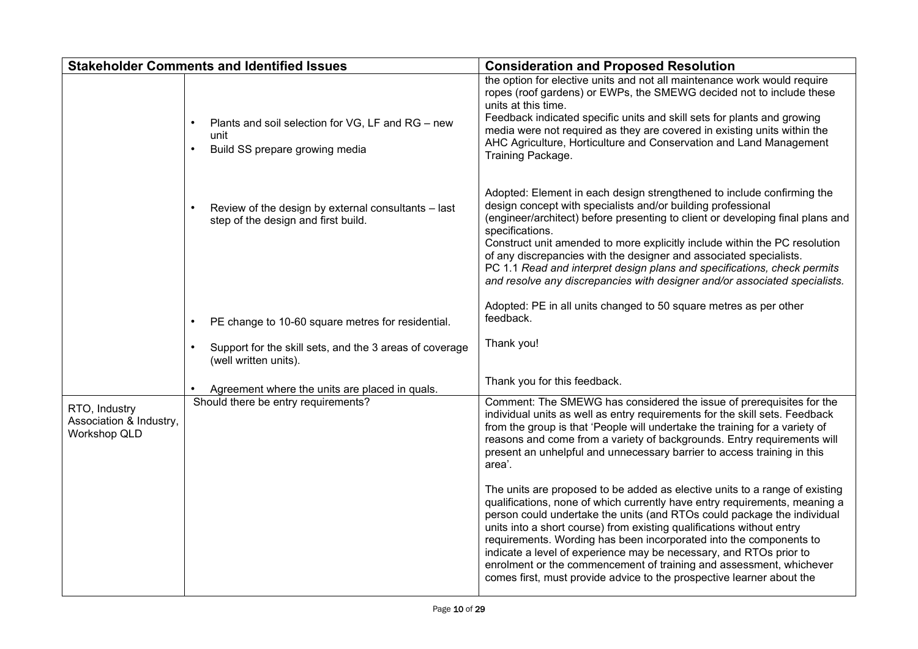|                                                          | <b>Stakeholder Comments and Identified Issues</b>                                                        | <b>Consideration and Proposed Resolution</b>                                                                                                                                                                                                                                                                                                                                                                                                                                                                                                                                                              |
|----------------------------------------------------------|----------------------------------------------------------------------------------------------------------|-----------------------------------------------------------------------------------------------------------------------------------------------------------------------------------------------------------------------------------------------------------------------------------------------------------------------------------------------------------------------------------------------------------------------------------------------------------------------------------------------------------------------------------------------------------------------------------------------------------|
|                                                          | Plants and soil selection for VG, LF and RG - new<br>unit<br>Build SS prepare growing media<br>$\bullet$ | the option for elective units and not all maintenance work would require<br>ropes (roof gardens) or EWPs, the SMEWG decided not to include these<br>units at this time.<br>Feedback indicated specific units and skill sets for plants and growing<br>media were not required as they are covered in existing units within the<br>AHC Agriculture, Horticulture and Conservation and Land Management<br>Training Package.                                                                                                                                                                                 |
|                                                          | Review of the design by external consultants - last<br>step of the design and first build.               | Adopted: Element in each design strengthened to include confirming the<br>design concept with specialists and/or building professional<br>(engineer/architect) before presenting to client or developing final plans and<br>specifications.<br>Construct unit amended to more explicitly include within the PC resolution<br>of any discrepancies with the designer and associated specialists.<br>PC 1.1 Read and interpret design plans and specifications, check permits<br>and resolve any discrepancies with designer and/or associated specialists.                                                 |
|                                                          | PE change to 10-60 square metres for residential.                                                        | Adopted: PE in all units changed to 50 square metres as per other<br>feedback.                                                                                                                                                                                                                                                                                                                                                                                                                                                                                                                            |
|                                                          | Support for the skill sets, and the 3 areas of coverage<br>$\bullet$<br>(well written units).            | Thank you!                                                                                                                                                                                                                                                                                                                                                                                                                                                                                                                                                                                                |
|                                                          | Agreement where the units are placed in quals.                                                           | Thank you for this feedback.                                                                                                                                                                                                                                                                                                                                                                                                                                                                                                                                                                              |
| RTO, Industry<br>Association & Industry,<br>Workshop QLD | Should there be entry requirements?                                                                      | Comment: The SMEWG has considered the issue of prerequisites for the<br>individual units as well as entry requirements for the skill sets. Feedback<br>from the group is that 'People will undertake the training for a variety of<br>reasons and come from a variety of backgrounds. Entry requirements will<br>present an unhelpful and unnecessary barrier to access training in this<br>area'.                                                                                                                                                                                                        |
|                                                          |                                                                                                          | The units are proposed to be added as elective units to a range of existing<br>qualifications, none of which currently have entry requirements, meaning a<br>person could undertake the units (and RTOs could package the individual<br>units into a short course) from existing qualifications without entry<br>requirements. Wording has been incorporated into the components to<br>indicate a level of experience may be necessary, and RTOs prior to<br>enrolment or the commencement of training and assessment, whichever<br>comes first, must provide advice to the prospective learner about the |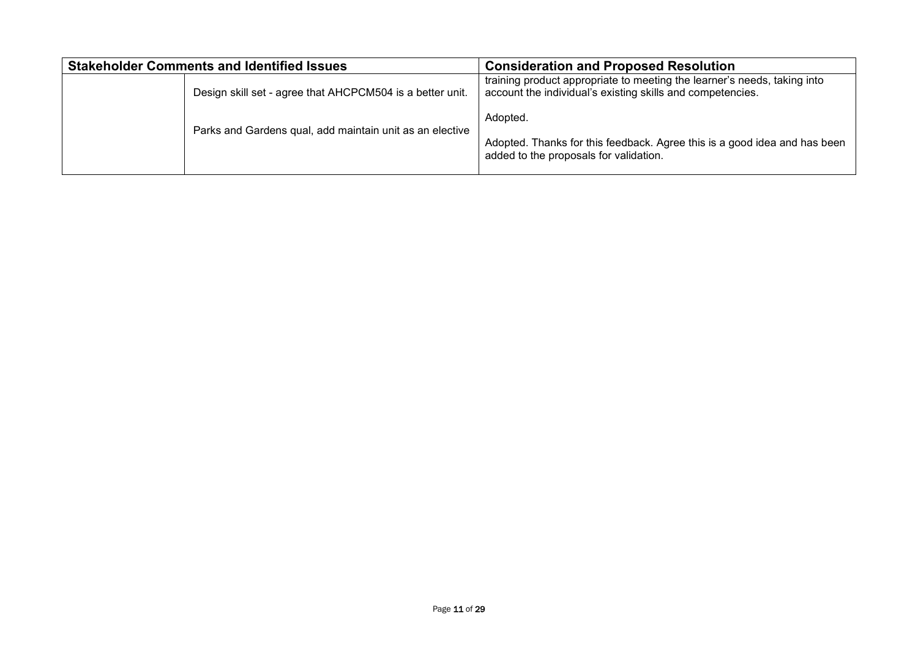<span id="page-10-0"></span>

| <b>Stakeholder Comments and Identified Issues</b> |                                                           | <b>Consideration and Proposed Resolution</b>                                                                                           |
|---------------------------------------------------|-----------------------------------------------------------|----------------------------------------------------------------------------------------------------------------------------------------|
|                                                   | Design skill set - agree that AHCPCM504 is a better unit. | training product appropriate to meeting the learner's needs, taking into<br>account the individual's existing skills and competencies. |
|                                                   | Parks and Gardens qual, add maintain unit as an elective  | Adopted.                                                                                                                               |
|                                                   |                                                           | Adopted. Thanks for this feedback. Agree this is a good idea and has been<br>added to the proposals for validation.                    |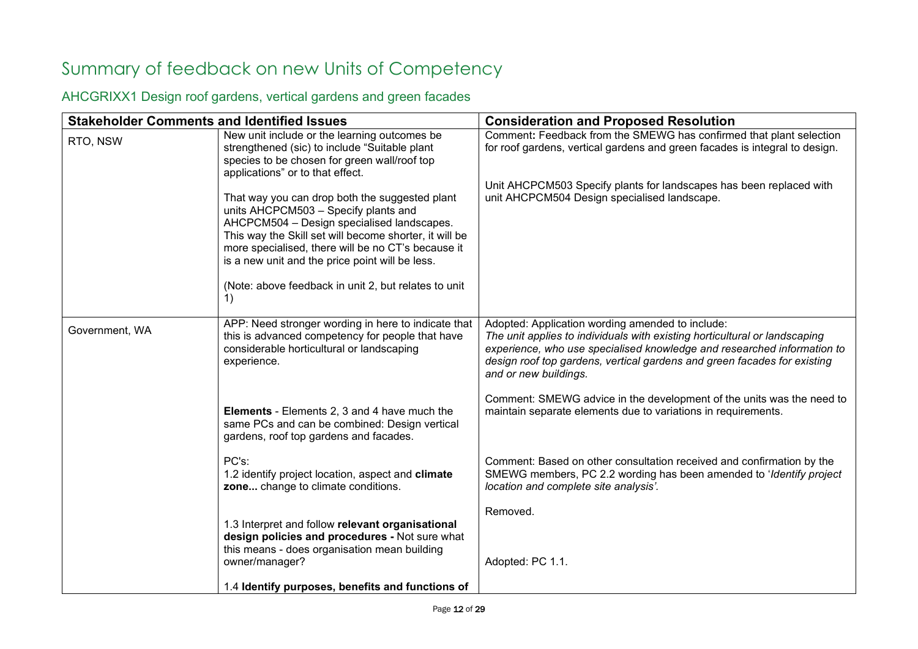# Summary of feedback on new Units of Competency

<span id="page-11-0"></span>AHCGRIXX1 Design roof gardens, vertical gardens and green facades

| Comment: Feedback from the SMEWG has confirmed that plant selection<br>for roof gardens, vertical gardens and green facades is integral to design.                                                                                |
|-----------------------------------------------------------------------------------------------------------------------------------------------------------------------------------------------------------------------------------|
| Unit AHCPCM503 Specify plants for landscapes has been replaced with                                                                                                                                                               |
| The unit applies to individuals with existing horticultural or landscaping<br>experience, who use specialised knowledge and researched information to<br>design roof top gardens, vertical gardens and green facades for existing |
| Comment: SMEWG advice in the development of the units was the need to<br>maintain separate elements due to variations in requirements.                                                                                            |
| Comment: Based on other consultation received and confirmation by the<br>SMEWG members, PC 2.2 wording has been amended to 'Identify project                                                                                      |
|                                                                                                                                                                                                                                   |
|                                                                                                                                                                                                                                   |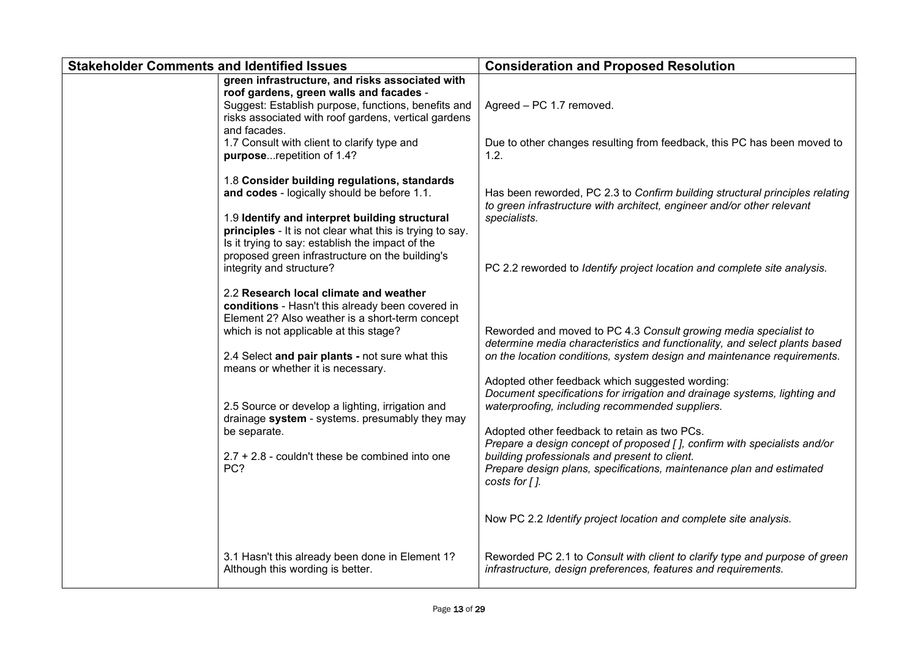| <b>Stakeholder Comments and Identified Issues</b> |                                                                                                                                                                                                                                                                                            | <b>Consideration and Proposed Resolution</b>                                                                                                                                                                                                                                                                                                                                                       |
|---------------------------------------------------|--------------------------------------------------------------------------------------------------------------------------------------------------------------------------------------------------------------------------------------------------------------------------------------------|----------------------------------------------------------------------------------------------------------------------------------------------------------------------------------------------------------------------------------------------------------------------------------------------------------------------------------------------------------------------------------------------------|
|                                                   | green infrastructure, and risks associated with<br>roof gardens, green walls and facades -<br>Suggest: Establish purpose, functions, benefits and<br>risks associated with roof gardens, vertical gardens<br>and facades.<br>1.7 Consult with client to clarify type and                   | Agreed - PC 1.7 removed.<br>Due to other changes resulting from feedback, this PC has been moved to                                                                                                                                                                                                                                                                                                |
|                                                   | purposerepetition of 1.4?<br>1.8 Consider building regulations, standards<br>and codes - logically should be before 1.1.<br>1.9 Identify and interpret building structural<br>principles - It is not clear what this is trying to say.<br>Is it trying to say: establish the impact of the | 1.2.<br>Has been reworded, PC 2.3 to Confirm building structural principles relating<br>to green infrastructure with architect, engineer and/or other relevant<br>specialists.                                                                                                                                                                                                                     |
|                                                   | proposed green infrastructure on the building's<br>integrity and structure?<br>2.2 Research local climate and weather<br>conditions - Hasn't this already been covered in                                                                                                                  | PC 2.2 reworded to Identify project location and complete site analysis.                                                                                                                                                                                                                                                                                                                           |
|                                                   | Element 2? Also weather is a short-term concept<br>which is not applicable at this stage?<br>2.4 Select and pair plants - not sure what this<br>means or whether it is necessary.                                                                                                          | Reworded and moved to PC 4.3 Consult growing media specialist to<br>determine media characteristics and functionality, and select plants based<br>on the location conditions, system design and maintenance requirements.<br>Adopted other feedback which suggested wording:                                                                                                                       |
|                                                   | 2.5 Source or develop a lighting, irrigation and<br>drainage system - systems. presumably they may<br>be separate.<br>$2.7 + 2.8$ - couldn't these be combined into one<br>PC?                                                                                                             | Document specifications for irrigation and drainage systems, lighting and<br>waterproofing, including recommended suppliers.<br>Adopted other feedback to retain as two PCs.<br>Prepare a design concept of proposed [], confirm with specialists and/or<br>building professionals and present to client.<br>Prepare design plans, specifications, maintenance plan and estimated<br>costs for []. |
|                                                   |                                                                                                                                                                                                                                                                                            | Now PC 2.2 Identify project location and complete site analysis.                                                                                                                                                                                                                                                                                                                                   |
|                                                   | 3.1 Hasn't this already been done in Element 1?<br>Although this wording is better.                                                                                                                                                                                                        | Reworded PC 2.1 to Consult with client to clarify type and purpose of green<br>infrastructure, design preferences, features and requirements.                                                                                                                                                                                                                                                      |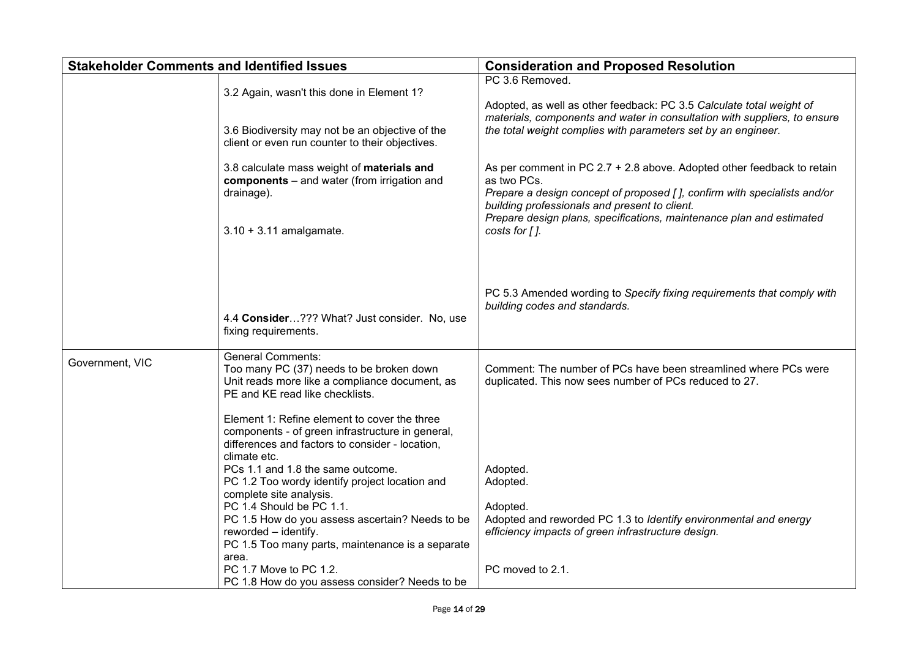| <b>Stakeholder Comments and Identified Issues</b> |                                                                                                                                                                                                                                                                                                                                                                                                                                                                                                                                                                                                               | <b>Consideration and Proposed Resolution</b>                                                                                                                                                                                                                                                                       |
|---------------------------------------------------|---------------------------------------------------------------------------------------------------------------------------------------------------------------------------------------------------------------------------------------------------------------------------------------------------------------------------------------------------------------------------------------------------------------------------------------------------------------------------------------------------------------------------------------------------------------------------------------------------------------|--------------------------------------------------------------------------------------------------------------------------------------------------------------------------------------------------------------------------------------------------------------------------------------------------------------------|
|                                                   | 3.2 Again, wasn't this done in Element 1?<br>3.6 Biodiversity may not be an objective of the<br>client or even run counter to their objectives.                                                                                                                                                                                                                                                                                                                                                                                                                                                               | PC 3.6 Removed.<br>Adopted, as well as other feedback: PC 3.5 Calculate total weight of<br>materials, components and water in consultation with suppliers, to ensure<br>the total weight complies with parameters set by an engineer.                                                                              |
|                                                   | 3.8 calculate mass weight of materials and<br>components - and water (from irrigation and<br>drainage).<br>$3.10 + 3.11$ amalgamate.                                                                                                                                                                                                                                                                                                                                                                                                                                                                          | As per comment in PC $2.7 + 2.8$ above. Adopted other feedback to retain<br>as two PCs.<br>Prepare a design concept of proposed [], confirm with specialists and/or<br>building professionals and present to client.<br>Prepare design plans, specifications, maintenance plan and estimated<br>costs for $\int$ . |
|                                                   | 4.4 Consider??? What? Just consider. No, use<br>fixing requirements.                                                                                                                                                                                                                                                                                                                                                                                                                                                                                                                                          | PC 5.3 Amended wording to Specify fixing requirements that comply with<br>building codes and standards.                                                                                                                                                                                                            |
| Government, VIC                                   | <b>General Comments:</b><br>Too many PC (37) needs to be broken down<br>Unit reads more like a compliance document, as<br>PE and KE read like checklists.<br>Element 1: Refine element to cover the three<br>components - of green infrastructure in general,<br>differences and factors to consider - location,<br>climate etc.<br>PCs 1.1 and 1.8 the same outcome.<br>PC 1.2 Too wordy identify project location and<br>complete site analysis.<br>PC 1.4 Should be PC 1.1.<br>PC 1.5 How do you assess ascertain? Needs to be<br>reworded - identify.<br>PC 1.5 Too many parts, maintenance is a separate | Comment: The number of PCs have been streamlined where PCs were<br>duplicated. This now sees number of PCs reduced to 27.<br>Adopted.<br>Adopted.<br>Adopted.<br>Adopted and reworded PC 1.3 to Identify environmental and energy<br>efficiency impacts of green infrastructure design.                            |
|                                                   | area.<br>PC 1.7 Move to PC 1.2.<br>PC 1.8 How do you assess consider? Needs to be                                                                                                                                                                                                                                                                                                                                                                                                                                                                                                                             | PC moved to 2.1.                                                                                                                                                                                                                                                                                                   |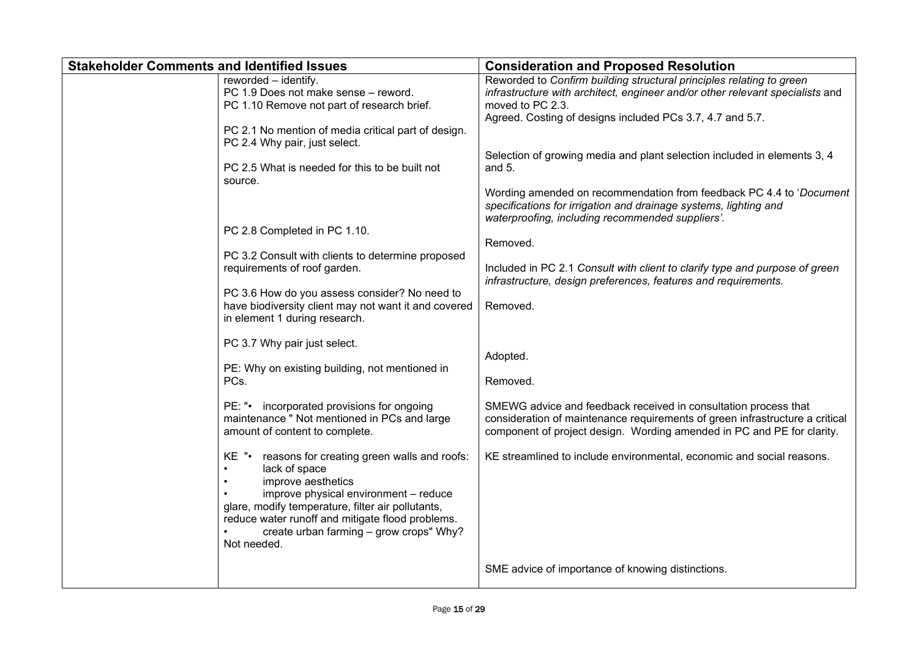| <b>Stakeholder Comments and Identified Issues</b> |                                                                                                                                                                                                                                                                                                                                                                                                                                                                                                                                                                                                                                                                                                                                                                                                                                                                                                                                                                                                              | <b>Consideration and Proposed Resolution</b>                                                                                                                                                                                                                                                                                                                                                                                                                                                                                                                                                                                                                                                                                                                                                                                                                                                                                                                                                                                           |
|---------------------------------------------------|--------------------------------------------------------------------------------------------------------------------------------------------------------------------------------------------------------------------------------------------------------------------------------------------------------------------------------------------------------------------------------------------------------------------------------------------------------------------------------------------------------------------------------------------------------------------------------------------------------------------------------------------------------------------------------------------------------------------------------------------------------------------------------------------------------------------------------------------------------------------------------------------------------------------------------------------------------------------------------------------------------------|----------------------------------------------------------------------------------------------------------------------------------------------------------------------------------------------------------------------------------------------------------------------------------------------------------------------------------------------------------------------------------------------------------------------------------------------------------------------------------------------------------------------------------------------------------------------------------------------------------------------------------------------------------------------------------------------------------------------------------------------------------------------------------------------------------------------------------------------------------------------------------------------------------------------------------------------------------------------------------------------------------------------------------------|
|                                                   | reworded - identify.<br>PC 1.9 Does not make sense - reword.<br>PC 1.10 Remove not part of research brief.<br>PC 2.1 No mention of media critical part of design.<br>PC 2.4 Why pair, just select.<br>PC 2.5 What is needed for this to be built not<br>source.<br>PC 2.8 Completed in PC 1.10.<br>PC 3.2 Consult with clients to determine proposed<br>requirements of roof garden.<br>PC 3.6 How do you assess consider? No need to<br>have biodiversity client may not want it and covered<br>in element 1 during research.<br>PC 3.7 Why pair just select.<br>PE: Why on existing building, not mentioned in<br>PCs.<br>incorporated provisions for ongoing<br>PE: "∙<br>maintenance " Not mentioned in PCs and large<br>amount of content to complete.<br>reasons for creating green walls and roofs:<br>KE "•<br>lack of space<br>improve aesthetics<br>improve physical environment - reduce<br>glare, modify temperature, filter air pollutants,<br>reduce water runoff and mitigate flood problems. | Reworded to Confirm building structural principles relating to green<br>infrastructure with architect, engineer and/or other relevant specialists and<br>moved to PC 2.3.<br>Agreed. Costing of designs included PCs 3.7, 4.7 and 5.7.<br>Selection of growing media and plant selection included in elements 3, 4<br>and $5$ .<br>Wording amended on recommendation from feedback PC 4.4 to 'Document'<br>specifications for irrigation and drainage systems, lighting and<br>waterproofing, including recommended suppliers'.<br>Removed.<br>Included in PC 2.1 Consult with client to clarify type and purpose of green<br>infrastructure, design preferences, features and requirements.<br>Removed.<br>Adopted.<br>Removed.<br>SMEWG advice and feedback received in consultation process that<br>consideration of maintenance requirements of green infrastructure a critical<br>component of project design. Wording amended in PC and PE for clarity.<br>KE streamlined to include environmental, economic and social reasons. |
|                                                   | create urban farming - grow crops" Why?<br>Not needed.                                                                                                                                                                                                                                                                                                                                                                                                                                                                                                                                                                                                                                                                                                                                                                                                                                                                                                                                                       | SME advice of importance of knowing distinctions.                                                                                                                                                                                                                                                                                                                                                                                                                                                                                                                                                                                                                                                                                                                                                                                                                                                                                                                                                                                      |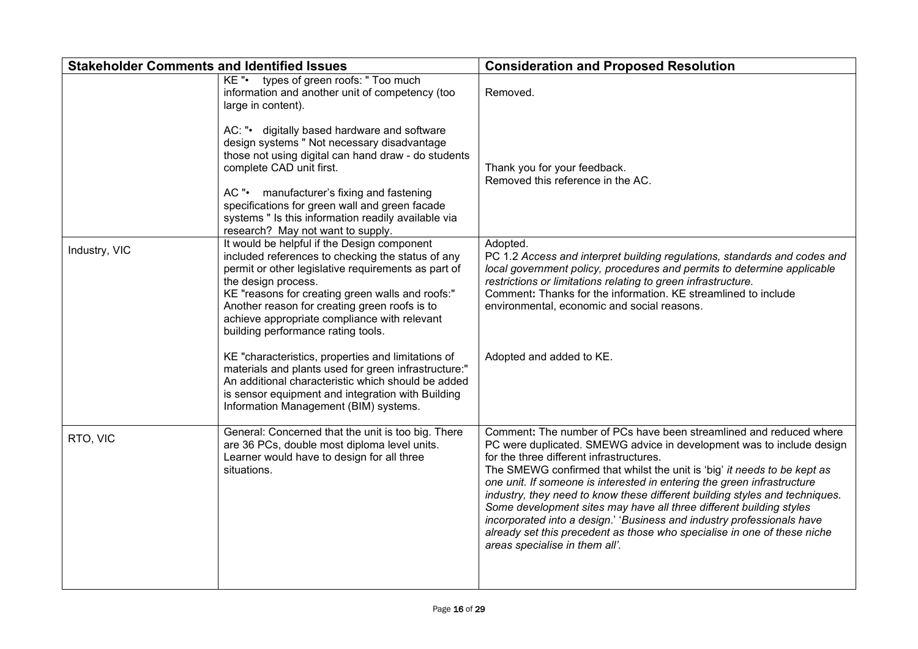| <b>Stakeholder Comments and Identified Issues</b> |                                                                                                                                                                                                                                                                                                                                                                           | <b>Consideration and Proposed Resolution</b>                                                                                                                                                                                                                                                                                                                                                                                                                                                                                                                                                                                                                                                 |
|---------------------------------------------------|---------------------------------------------------------------------------------------------------------------------------------------------------------------------------------------------------------------------------------------------------------------------------------------------------------------------------------------------------------------------------|----------------------------------------------------------------------------------------------------------------------------------------------------------------------------------------------------------------------------------------------------------------------------------------------------------------------------------------------------------------------------------------------------------------------------------------------------------------------------------------------------------------------------------------------------------------------------------------------------------------------------------------------------------------------------------------------|
|                                                   | types of green roofs: " Too much<br>KE".<br>information and another unit of competency (too<br>large in content).                                                                                                                                                                                                                                                         | Removed.                                                                                                                                                                                                                                                                                                                                                                                                                                                                                                                                                                                                                                                                                     |
|                                                   | AC: "• digitally based hardware and software<br>design systems " Not necessary disadvantage<br>those not using digital can hand draw - do students<br>complete CAD unit first.<br>AC "• manufacturer's fixing and fastening<br>specifications for green wall and green facade                                                                                             | Thank you for your feedback.<br>Removed this reference in the AC.                                                                                                                                                                                                                                                                                                                                                                                                                                                                                                                                                                                                                            |
|                                                   | systems " Is this information readily available via<br>research? May not want to supply.                                                                                                                                                                                                                                                                                  |                                                                                                                                                                                                                                                                                                                                                                                                                                                                                                                                                                                                                                                                                              |
| Industry, VIC                                     | It would be helpful if the Design component<br>included references to checking the status of any<br>permit or other legislative requirements as part of<br>the design process.<br>KE "reasons for creating green walls and roofs:"<br>Another reason for creating green roofs is to<br>achieve appropriate compliance with relevant<br>building performance rating tools. | Adopted.<br>PC 1.2 Access and interpret building regulations, standards and codes and<br>local government policy, procedures and permits to determine applicable<br>restrictions or limitations relating to green infrastructure.<br>Comment: Thanks for the information. KE streamlined to include<br>environmental, economic and social reasons.                                                                                                                                                                                                                                                                                                                                           |
|                                                   | KE "characteristics, properties and limitations of<br>materials and plants used for green infrastructure:"<br>An additional characteristic which should be added<br>is sensor equipment and integration with Building<br>Information Management (BIM) systems.                                                                                                            | Adopted and added to KE.                                                                                                                                                                                                                                                                                                                                                                                                                                                                                                                                                                                                                                                                     |
| RTO, VIC                                          | General: Concerned that the unit is too big. There<br>are 36 PCs, double most diploma level units.<br>Learner would have to design for all three<br>situations.                                                                                                                                                                                                           | Comment: The number of PCs have been streamlined and reduced where<br>PC were duplicated. SMEWG advice in development was to include design<br>for the three different infrastructures.<br>The SMEWG confirmed that whilst the unit is 'big' it needs to be kept as<br>one unit. If someone is interested in entering the green infrastructure<br>industry, they need to know these different building styles and techniques.<br>Some development sites may have all three different building styles<br>incorporated into a design.' 'Business and industry professionals have<br>already set this precedent as those who specialise in one of these niche<br>areas specialise in them all'. |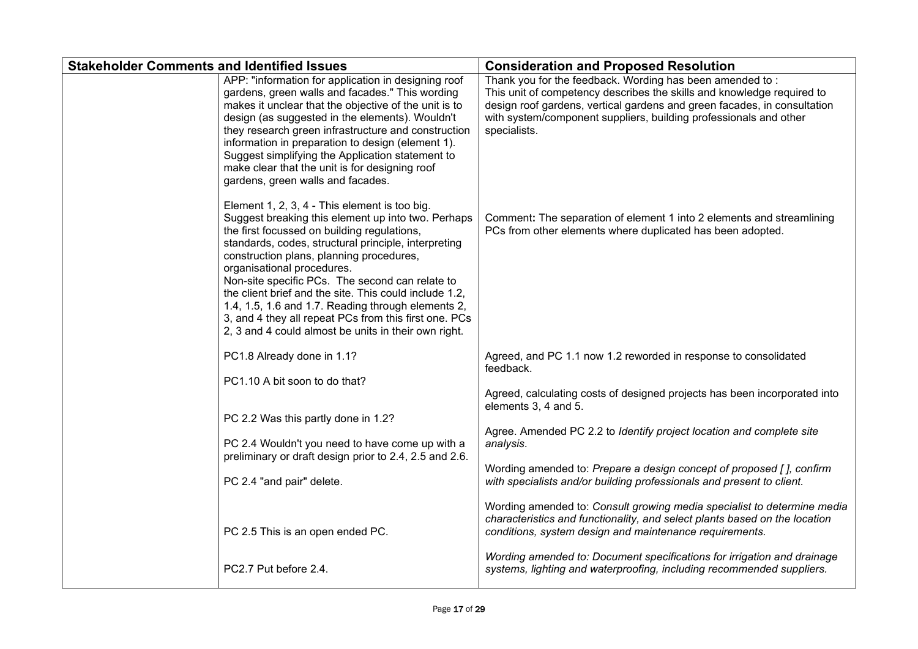| <b>Stakeholder Comments and Identified Issues</b>                                                                                                                                                                                                                                                                                                                                                                                                                                                                                                                        | <b>Consideration and Proposed Resolution</b>                                                                                                                                                                                                                                                        |
|--------------------------------------------------------------------------------------------------------------------------------------------------------------------------------------------------------------------------------------------------------------------------------------------------------------------------------------------------------------------------------------------------------------------------------------------------------------------------------------------------------------------------------------------------------------------------|-----------------------------------------------------------------------------------------------------------------------------------------------------------------------------------------------------------------------------------------------------------------------------------------------------|
| APP: "information for application in designing roof<br>gardens, green walls and facades." This wording<br>makes it unclear that the objective of the unit is to<br>design (as suggested in the elements). Wouldn't<br>they research green infrastructure and construction<br>information in preparation to design (element 1).<br>Suggest simplifying the Application statement to<br>make clear that the unit is for designing roof<br>gardens, green walls and facades.                                                                                                | Thank you for the feedback. Wording has been amended to:<br>This unit of competency describes the skills and knowledge required to<br>design roof gardens, vertical gardens and green facades, in consultation<br>with system/component suppliers, building professionals and other<br>specialists. |
| Element 1, 2, 3, 4 - This element is too big.<br>Suggest breaking this element up into two. Perhaps<br>the first focussed on building regulations,<br>standards, codes, structural principle, interpreting<br>construction plans, planning procedures,<br>organisational procedures.<br>Non-site specific PCs. The second can relate to<br>the client brief and the site. This could include 1.2,<br>1.4, 1.5, 1.6 and 1.7. Reading through elements 2,<br>3, and 4 they all repeat PCs from this first one. PCs<br>2, 3 and 4 could almost be units in their own right. | Comment: The separation of element 1 into 2 elements and streamlining<br>PCs from other elements where duplicated has been adopted.                                                                                                                                                                 |
| PC1.8 Already done in 1.1?                                                                                                                                                                                                                                                                                                                                                                                                                                                                                                                                               | Agreed, and PC 1.1 now 1.2 reworded in response to consolidated<br>feedback.                                                                                                                                                                                                                        |
| PC1.10 A bit soon to do that?<br>PC 2.2 Was this partly done in 1.2?<br>PC 2.4 Wouldn't you need to have come up with a                                                                                                                                                                                                                                                                                                                                                                                                                                                  | Agreed, calculating costs of designed projects has been incorporated into<br>elements 3, 4 and 5.<br>Agree. Amended PC 2.2 to Identify project location and complete site<br>analysis.                                                                                                              |
| preliminary or draft design prior to 2.4, 2.5 and 2.6.<br>PC 2.4 "and pair" delete.                                                                                                                                                                                                                                                                                                                                                                                                                                                                                      | Wording amended to: Prepare a design concept of proposed [], confirm<br>with specialists and/or building professionals and present to client.                                                                                                                                                       |
| PC 2.5 This is an open ended PC.                                                                                                                                                                                                                                                                                                                                                                                                                                                                                                                                         | Wording amended to: Consult growing media specialist to determine media<br>characteristics and functionality, and select plants based on the location<br>conditions, system design and maintenance requirements.                                                                                    |
| PC2.7 Put before 2.4.                                                                                                                                                                                                                                                                                                                                                                                                                                                                                                                                                    | Wording amended to: Document specifications for irrigation and drainage<br>systems, lighting and waterproofing, including recommended suppliers.                                                                                                                                                    |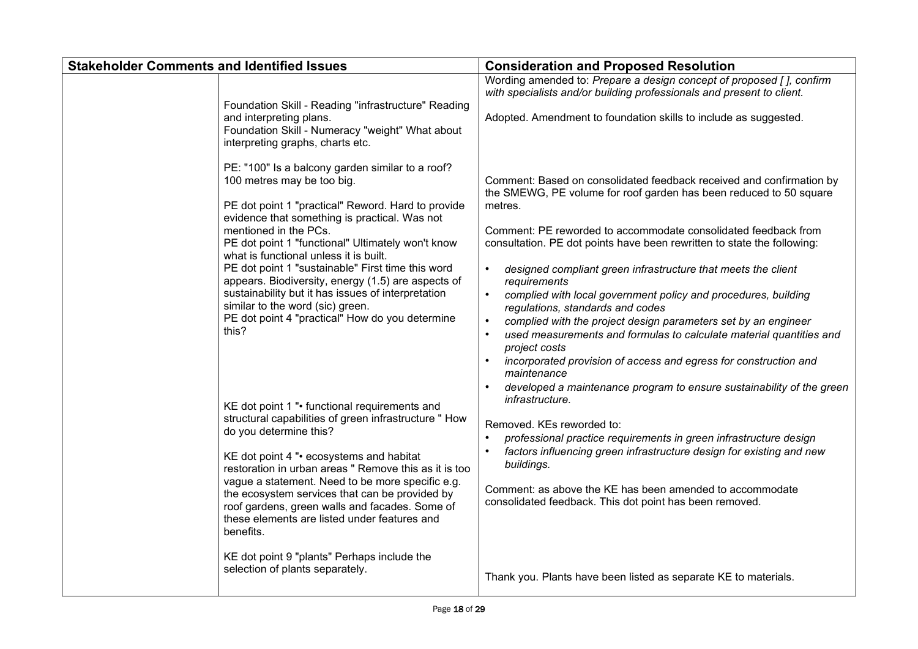| <b>Stakeholder Comments and Identified Issues</b>                                                                                                                                                                                                                                                                                                                                                                                                                                                                                                                                                                                                                                                                  | <b>Consideration and Proposed Resolution</b>                                                                                                                                                                                                                                                                                                                                                                                                                                                                                                                                                                                                                                                                                                                                                                                                                                                           |
|--------------------------------------------------------------------------------------------------------------------------------------------------------------------------------------------------------------------------------------------------------------------------------------------------------------------------------------------------------------------------------------------------------------------------------------------------------------------------------------------------------------------------------------------------------------------------------------------------------------------------------------------------------------------------------------------------------------------|--------------------------------------------------------------------------------------------------------------------------------------------------------------------------------------------------------------------------------------------------------------------------------------------------------------------------------------------------------------------------------------------------------------------------------------------------------------------------------------------------------------------------------------------------------------------------------------------------------------------------------------------------------------------------------------------------------------------------------------------------------------------------------------------------------------------------------------------------------------------------------------------------------|
| Foundation Skill - Reading "infrastructure" Reading<br>and interpreting plans.<br>Foundation Skill - Numeracy "weight" What about<br>interpreting graphs, charts etc.                                                                                                                                                                                                                                                                                                                                                                                                                                                                                                                                              | Wording amended to: Prepare a design concept of proposed [], confirm<br>with specialists and/or building professionals and present to client.<br>Adopted. Amendment to foundation skills to include as suggested.                                                                                                                                                                                                                                                                                                                                                                                                                                                                                                                                                                                                                                                                                      |
| PE: "100" Is a balcony garden similar to a roof?<br>100 metres may be too big.<br>PE dot point 1 "practical" Reword. Hard to provide<br>evidence that something is practical. Was not<br>mentioned in the PCs.<br>PE dot point 1 "functional" Ultimately won't know<br>what is functional unless it is built.<br>PE dot point 1 "sustainable" First time this word<br>appears. Biodiversity, energy (1.5) are aspects of<br>sustainability but it has issues of interpretation<br>similar to the word (sic) green.<br>PE dot point 4 "practical" How do you determine<br>this?<br>KE dot point 1 "• functional requirements and<br>structural capabilities of green infrastructure " How<br>do you determine this? | Comment: Based on consolidated feedback received and confirmation by<br>the SMEWG, PE volume for roof garden has been reduced to 50 square<br>metres.<br>Comment: PE reworded to accommodate consolidated feedback from<br>consultation. PE dot points have been rewritten to state the following:<br>$\bullet$<br>designed compliant green infrastructure that meets the client<br>requirements<br>$\bullet$<br>complied with local government policy and procedures, building<br>regulations, standards and codes<br>complied with the project design parameters set by an engineer<br>$\bullet$<br>used measurements and formulas to calculate material quantities and<br>project costs<br>incorporated provision of access and egress for construction and<br>maintenance<br>developed a maintenance program to ensure sustainability of the green<br>infrastructure.<br>Removed. KEs reworded to: |
| KE dot point 4 "• ecosystems and habitat<br>restoration in urban areas " Remove this as it is too<br>vague a statement. Need to be more specific e.g.<br>the ecosystem services that can be provided by<br>roof gardens, green walls and facades. Some of<br>these elements are listed under features and<br>benefits.<br>KE dot point 9 "plants" Perhaps include the<br>selection of plants separately.                                                                                                                                                                                                                                                                                                           | professional practice requirements in green infrastructure design<br>factors influencing green infrastructure design for existing and new<br>buildings.<br>Comment: as above the KE has been amended to accommodate<br>consolidated feedback. This dot point has been removed.<br>Thank you. Plants have been listed as separate KE to materials.                                                                                                                                                                                                                                                                                                                                                                                                                                                                                                                                                      |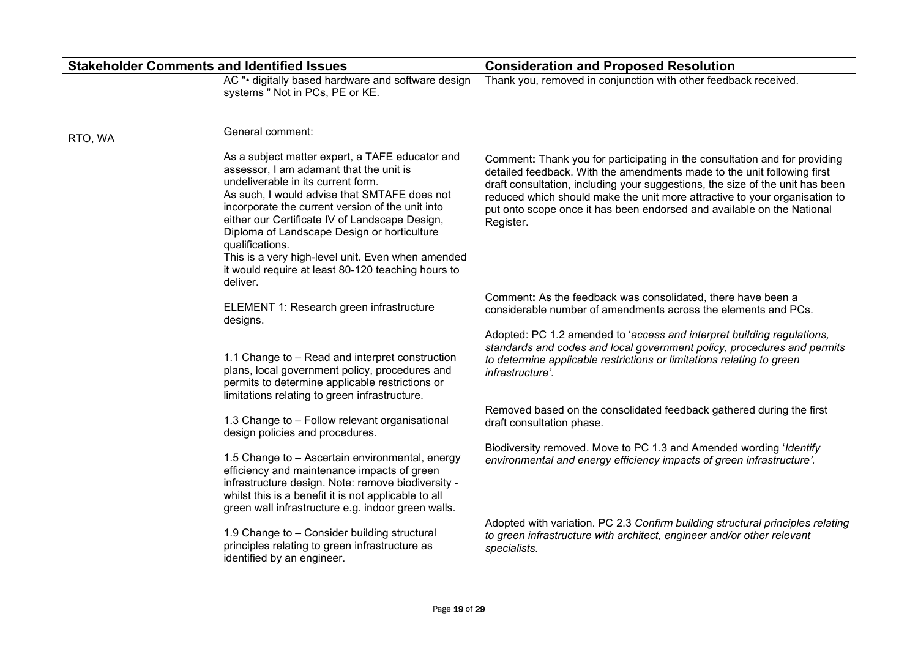| <b>Stakeholder Comments and Identified Issues</b> |                                                                                                                                                                                                                                                                                                                                                                                                                                                                                 | <b>Consideration and Proposed Resolution</b>                                                                                                                                                                                                                                                                                                                                                                |
|---------------------------------------------------|---------------------------------------------------------------------------------------------------------------------------------------------------------------------------------------------------------------------------------------------------------------------------------------------------------------------------------------------------------------------------------------------------------------------------------------------------------------------------------|-------------------------------------------------------------------------------------------------------------------------------------------------------------------------------------------------------------------------------------------------------------------------------------------------------------------------------------------------------------------------------------------------------------|
|                                                   | AC "• digitally based hardware and software design<br>systems " Not in PCs, PE or KE.                                                                                                                                                                                                                                                                                                                                                                                           | Thank you, removed in conjunction with other feedback received.                                                                                                                                                                                                                                                                                                                                             |
| RTO, WA                                           | General comment:                                                                                                                                                                                                                                                                                                                                                                                                                                                                |                                                                                                                                                                                                                                                                                                                                                                                                             |
|                                                   | As a subject matter expert, a TAFE educator and<br>assessor, I am adamant that the unit is<br>undeliverable in its current form.<br>As such, I would advise that SMTAFE does not<br>incorporate the current version of the unit into<br>either our Certificate IV of Landscape Design,<br>Diploma of Landscape Design or horticulture<br>qualifications.<br>This is a very high-level unit. Even when amended<br>it would require at least 80-120 teaching hours to<br>deliver. | Comment: Thank you for participating in the consultation and for providing<br>detailed feedback. With the amendments made to the unit following first<br>draft consultation, including your suggestions, the size of the unit has been<br>reduced which should make the unit more attractive to your organisation to<br>put onto scope once it has been endorsed and available on the National<br>Register. |
|                                                   | ELEMENT 1: Research green infrastructure<br>designs.                                                                                                                                                                                                                                                                                                                                                                                                                            | Comment: As the feedback was consolidated, there have been a<br>considerable number of amendments across the elements and PCs.                                                                                                                                                                                                                                                                              |
|                                                   | 1.1 Change to - Read and interpret construction<br>plans, local government policy, procedures and<br>permits to determine applicable restrictions or<br>limitations relating to green infrastructure.                                                                                                                                                                                                                                                                           | Adopted: PC 1.2 amended to 'access and interpret building regulations,<br>standards and codes and local government policy, procedures and permits<br>to determine applicable restrictions or limitations relating to green<br>infrastructure'.                                                                                                                                                              |
|                                                   | 1.3 Change to - Follow relevant organisational<br>design policies and procedures.                                                                                                                                                                                                                                                                                                                                                                                               | Removed based on the consolidated feedback gathered during the first<br>draft consultation phase.                                                                                                                                                                                                                                                                                                           |
|                                                   | 1.5 Change to - Ascertain environmental, energy<br>efficiency and maintenance impacts of green<br>infrastructure design. Note: remove biodiversity -<br>whilst this is a benefit it is not applicable to all<br>green wall infrastructure e.g. indoor green walls.                                                                                                                                                                                                              | Biodiversity removed. Move to PC 1.3 and Amended wording 'Identify<br>environmental and energy efficiency impacts of green infrastructure'.                                                                                                                                                                                                                                                                 |
|                                                   | 1.9 Change to - Consider building structural<br>principles relating to green infrastructure as<br>identified by an engineer.                                                                                                                                                                                                                                                                                                                                                    | Adopted with variation. PC 2.3 Confirm building structural principles relating<br>to green infrastructure with architect, engineer and/or other relevant<br>specialists.                                                                                                                                                                                                                                    |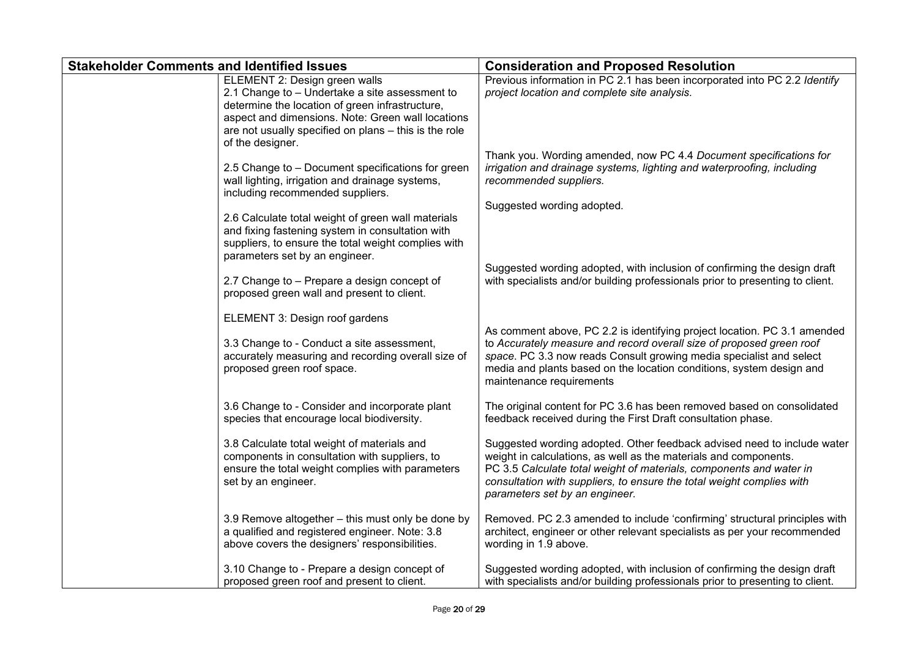| <b>Stakeholder Comments and Identified Issues</b> |                                                                                                                                                                                                                                                                      | <b>Consideration and Proposed Resolution</b>                                                                                                                                                                                                                                                                                  |
|---------------------------------------------------|----------------------------------------------------------------------------------------------------------------------------------------------------------------------------------------------------------------------------------------------------------------------|-------------------------------------------------------------------------------------------------------------------------------------------------------------------------------------------------------------------------------------------------------------------------------------------------------------------------------|
|                                                   | ELEMENT 2: Design green walls<br>2.1 Change to - Undertake a site assessment to<br>determine the location of green infrastructure,<br>aspect and dimensions. Note: Green wall locations<br>are not usually specified on plans - this is the role<br>of the designer. | Previous information in PC 2.1 has been incorporated into PC 2.2 Identify<br>project location and complete site analysis.                                                                                                                                                                                                     |
|                                                   | 2.5 Change to - Document specifications for green<br>wall lighting, irrigation and drainage systems,<br>including recommended suppliers.                                                                                                                             | Thank you. Wording amended, now PC 4.4 Document specifications for<br>irrigation and drainage systems, lighting and waterproofing, including<br>recommended suppliers.                                                                                                                                                        |
|                                                   | 2.6 Calculate total weight of green wall materials<br>and fixing fastening system in consultation with<br>suppliers, to ensure the total weight complies with<br>parameters set by an engineer.                                                                      | Suggested wording adopted.                                                                                                                                                                                                                                                                                                    |
|                                                   | 2.7 Change to - Prepare a design concept of<br>proposed green wall and present to client.                                                                                                                                                                            | Suggested wording adopted, with inclusion of confirming the design draft<br>with specialists and/or building professionals prior to presenting to client.                                                                                                                                                                     |
|                                                   | ELEMENT 3: Design roof gardens<br>3.3 Change to - Conduct a site assessment,<br>accurately measuring and recording overall size of<br>proposed green roof space.                                                                                                     | As comment above, PC 2.2 is identifying project location. PC 3.1 amended<br>to Accurately measure and record overall size of proposed green roof<br>space. PC 3.3 now reads Consult growing media specialist and select<br>media and plants based on the location conditions, system design and<br>maintenance requirements   |
|                                                   | 3.6 Change to - Consider and incorporate plant<br>species that encourage local biodiversity.                                                                                                                                                                         | The original content for PC 3.6 has been removed based on consolidated<br>feedback received during the First Draft consultation phase.                                                                                                                                                                                        |
|                                                   | 3.8 Calculate total weight of materials and<br>components in consultation with suppliers, to<br>ensure the total weight complies with parameters<br>set by an engineer.                                                                                              | Suggested wording adopted. Other feedback advised need to include water<br>weight in calculations, as well as the materials and components.<br>PC 3.5 Calculate total weight of materials, components and water in<br>consultation with suppliers, to ensure the total weight complies with<br>parameters set by an engineer. |
|                                                   | 3.9 Remove altogether - this must only be done by<br>a qualified and registered engineer. Note: 3.8<br>above covers the designers' responsibilities.                                                                                                                 | Removed. PC 2.3 amended to include 'confirming' structural principles with<br>architect, engineer or other relevant specialists as per your recommended<br>wording in 1.9 above.                                                                                                                                              |
|                                                   | 3.10 Change to - Prepare a design concept of<br>proposed green roof and present to client.                                                                                                                                                                           | Suggested wording adopted, with inclusion of confirming the design draft<br>with specialists and/or building professionals prior to presenting to client.                                                                                                                                                                     |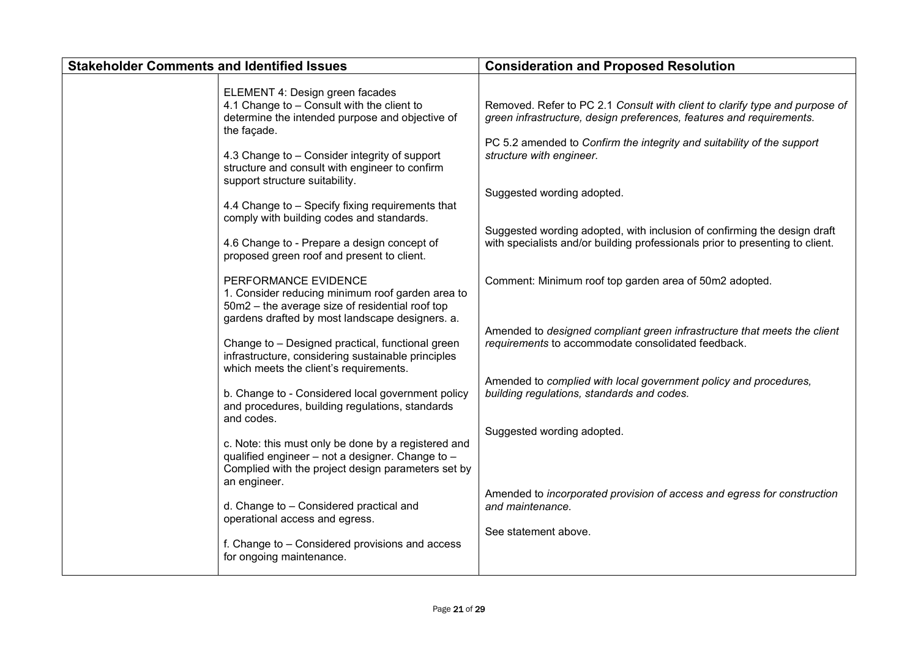| <b>Stakeholder Comments and Identified Issues</b> |                                                                                                                                                                                | <b>Consideration and Proposed Resolution</b>                                                                                                                                                                                  |
|---------------------------------------------------|--------------------------------------------------------------------------------------------------------------------------------------------------------------------------------|-------------------------------------------------------------------------------------------------------------------------------------------------------------------------------------------------------------------------------|
|                                                   | ELEMENT 4: Design green facades<br>4.1 Change to - Consult with the client to<br>determine the intended purpose and objective of<br>the façade.                                | Removed. Refer to PC 2.1 Consult with client to clarify type and purpose of<br>green infrastructure, design preferences, features and requirements.<br>PC 5.2 amended to Confirm the integrity and suitability of the support |
|                                                   | 4.3 Change to - Consider integrity of support<br>structure and consult with engineer to confirm<br>support structure suitability.                                              | structure with engineer.                                                                                                                                                                                                      |
|                                                   | 4.4 Change to - Specify fixing requirements that<br>comply with building codes and standards.                                                                                  | Suggested wording adopted.                                                                                                                                                                                                    |
|                                                   | 4.6 Change to - Prepare a design concept of<br>proposed green roof and present to client.                                                                                      | Suggested wording adopted, with inclusion of confirming the design draft<br>with specialists and/or building professionals prior to presenting to client.                                                                     |
|                                                   | PERFORMANCE EVIDENCE<br>1. Consider reducing minimum roof garden area to<br>50m2 - the average size of residential roof top<br>gardens drafted by most landscape designers. a. | Comment: Minimum roof top garden area of 50m2 adopted.                                                                                                                                                                        |
|                                                   | Change to - Designed practical, functional green<br>infrastructure, considering sustainable principles<br>which meets the client's requirements.                               | Amended to designed compliant green infrastructure that meets the client<br>requirements to accommodate consolidated feedback.                                                                                                |
|                                                   | b. Change to - Considered local government policy<br>and procedures, building regulations, standards<br>and codes.                                                             | Amended to complied with local government policy and procedures,<br>building regulations, standards and codes.                                                                                                                |
|                                                   | c. Note: this must only be done by a registered and<br>qualified engineer - not a designer. Change to -<br>Complied with the project design parameters set by<br>an engineer.  | Suggested wording adopted.                                                                                                                                                                                                    |
|                                                   | d. Change to - Considered practical and<br>operational access and egress.                                                                                                      | Amended to incorporated provision of access and egress for construction<br>and maintenance.                                                                                                                                   |
|                                                   | f. Change to - Considered provisions and access<br>for ongoing maintenance.                                                                                                    | See statement above.                                                                                                                                                                                                          |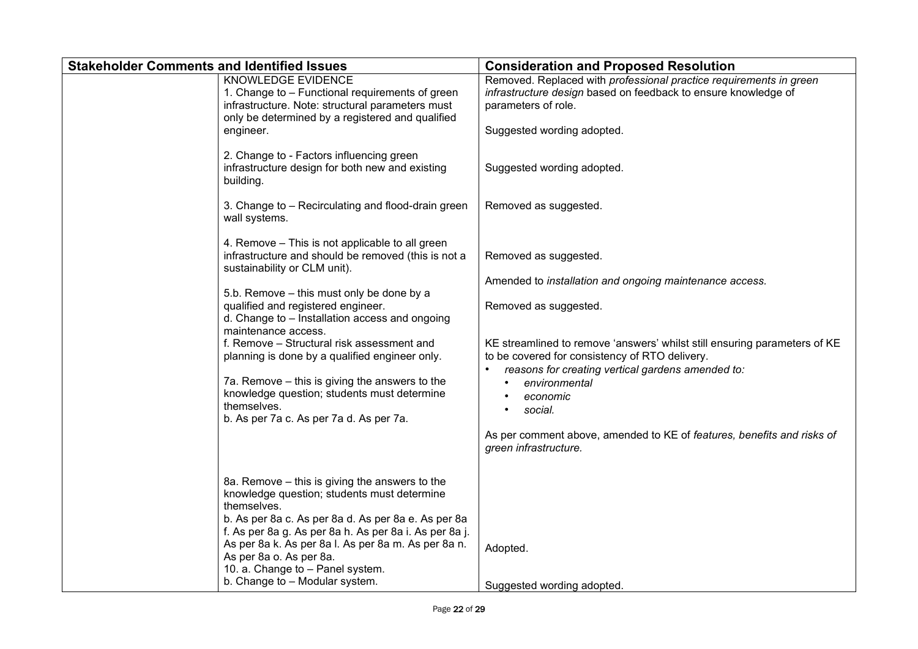| <b>Stakeholder Comments and Identified Issues</b> |                                                                                                                                                                               | <b>Consideration and Proposed Resolution</b>                                                                                                                                              |
|---------------------------------------------------|-------------------------------------------------------------------------------------------------------------------------------------------------------------------------------|-------------------------------------------------------------------------------------------------------------------------------------------------------------------------------------------|
|                                                   | KNOWLEDGE EVIDENCE<br>1. Change to - Functional requirements of green<br>infrastructure. Note: structural parameters must<br>only be determined by a registered and qualified | Removed. Replaced with professional practice requirements in green<br>infrastructure design based on feedback to ensure knowledge of<br>parameters of role.<br>Suggested wording adopted. |
|                                                   | engineer.                                                                                                                                                                     |                                                                                                                                                                                           |
|                                                   | 2. Change to - Factors influencing green<br>infrastructure design for both new and existing<br>building.                                                                      | Suggested wording adopted.                                                                                                                                                                |
|                                                   | 3. Change to - Recirculating and flood-drain green<br>wall systems.                                                                                                           | Removed as suggested.                                                                                                                                                                     |
|                                                   | 4. Remove – This is not applicable to all green<br>infrastructure and should be removed (this is not a<br>sustainability or CLM unit).                                        | Removed as suggested.                                                                                                                                                                     |
|                                                   |                                                                                                                                                                               | Amended to installation and ongoing maintenance access.                                                                                                                                   |
|                                                   | 5.b. Remove - this must only be done by a<br>qualified and registered engineer.<br>d. Change to - Installation access and ongoing<br>maintenance access.                      | Removed as suggested.                                                                                                                                                                     |
|                                                   | f. Remove - Structural risk assessment and<br>planning is done by a qualified engineer only.                                                                                  | KE streamlined to remove 'answers' whilst still ensuring parameters of KE<br>to be covered for consistency of RTO delivery.                                                               |
|                                                   | 7a. Remove – this is giving the answers to the                                                                                                                                | reasons for creating vertical gardens amended to:                                                                                                                                         |
|                                                   | knowledge question; students must determine                                                                                                                                   | environmental<br>economic                                                                                                                                                                 |
|                                                   | themselves.<br>b. As per 7a c. As per 7a d. As per 7a.                                                                                                                        | social.                                                                                                                                                                                   |
|                                                   |                                                                                                                                                                               | As per comment above, amended to KE of features, benefits and risks of<br>green infrastructure.                                                                                           |
|                                                   | 8a. Remove - this is giving the answers to the<br>knowledge question; students must determine<br>themselves.                                                                  |                                                                                                                                                                                           |
|                                                   | b. As per 8a c. As per 8a d. As per 8a e. As per 8a<br>f. As per 8a g. As per 8a h. As per 8a i. As per 8a j.                                                                 |                                                                                                                                                                                           |
|                                                   | As per 8a k. As per 8a l. As per 8a m. As per 8a n.                                                                                                                           | Adopted.                                                                                                                                                                                  |
|                                                   | As per 8a o. As per 8a.                                                                                                                                                       |                                                                                                                                                                                           |
|                                                   | 10. a. Change to - Panel system.<br>b. Change to - Modular system.                                                                                                            |                                                                                                                                                                                           |
|                                                   |                                                                                                                                                                               | Suggested wording adopted.                                                                                                                                                                |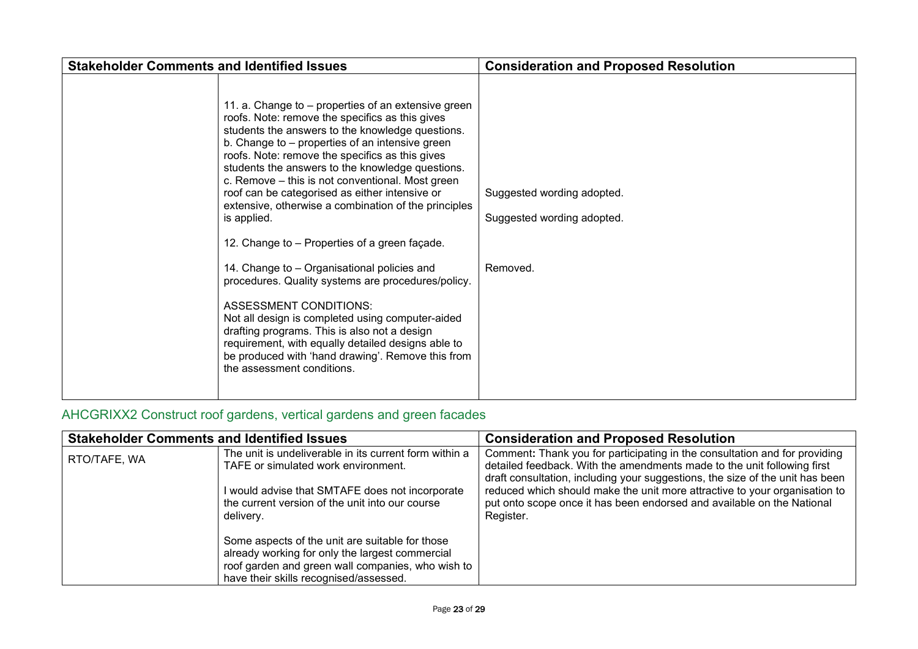| <b>Stakeholder Comments and Identified Issues</b>                                                                                                                                                                                                                                                                                                                                                                                                                                                                                                                                                                                                                                                                                                                                                                                                                                                                                     | <b>Consideration and Proposed Resolution</b>                         |
|---------------------------------------------------------------------------------------------------------------------------------------------------------------------------------------------------------------------------------------------------------------------------------------------------------------------------------------------------------------------------------------------------------------------------------------------------------------------------------------------------------------------------------------------------------------------------------------------------------------------------------------------------------------------------------------------------------------------------------------------------------------------------------------------------------------------------------------------------------------------------------------------------------------------------------------|----------------------------------------------------------------------|
| 11. a. Change to – properties of an extensive green<br>roofs. Note: remove the specifics as this gives<br>students the answers to the knowledge questions.<br>b. Change to – properties of an intensive green<br>roofs. Note: remove the specifics as this gives<br>students the answers to the knowledge questions.<br>c. Remove – this is not conventional. Most green<br>roof can be categorised as either intensive or<br>extensive, otherwise a combination of the principles<br>is applied.<br>12. Change to - Properties of a green façade.<br>14. Change to – Organisational policies and<br>procedures. Quality systems are procedures/policy.<br><b>ASSESSMENT CONDITIONS:</b><br>Not all design is completed using computer-aided<br>drafting programs. This is also not a design<br>requirement, with equally detailed designs able to<br>be produced with 'hand drawing'. Remove this from<br>the assessment conditions. | Suggested wording adopted.<br>Suggested wording adopted.<br>Removed. |

## <span id="page-22-0"></span>AHCGRIXX2 Construct roof gardens, vertical gardens and green facades

| <b>Stakeholder Comments and Identified Issues</b> |                                                                                                                                                                                                   | <b>Consideration and Proposed Resolution</b>                                                                                                                                                                                           |
|---------------------------------------------------|---------------------------------------------------------------------------------------------------------------------------------------------------------------------------------------------------|----------------------------------------------------------------------------------------------------------------------------------------------------------------------------------------------------------------------------------------|
| RTO/TAFE, WA                                      | The unit is undeliverable in its current form within a<br>TAFE or simulated work environment.                                                                                                     | Comment: Thank you for participating in the consultation and for providing<br>detailed feedback. With the amendments made to the unit following first<br>draft consultation, including your suggestions, the size of the unit has been |
|                                                   | I would advise that SMTAFE does not incorporate<br>the current version of the unit into our course<br>delivery.                                                                                   | reduced which should make the unit more attractive to your organisation to<br>put onto scope once it has been endorsed and available on the National<br>Register.                                                                      |
|                                                   | Some aspects of the unit are suitable for those<br>already working for only the largest commercial<br>roof garden and green wall companies, who wish to<br>have their skills recognised/assessed. |                                                                                                                                                                                                                                        |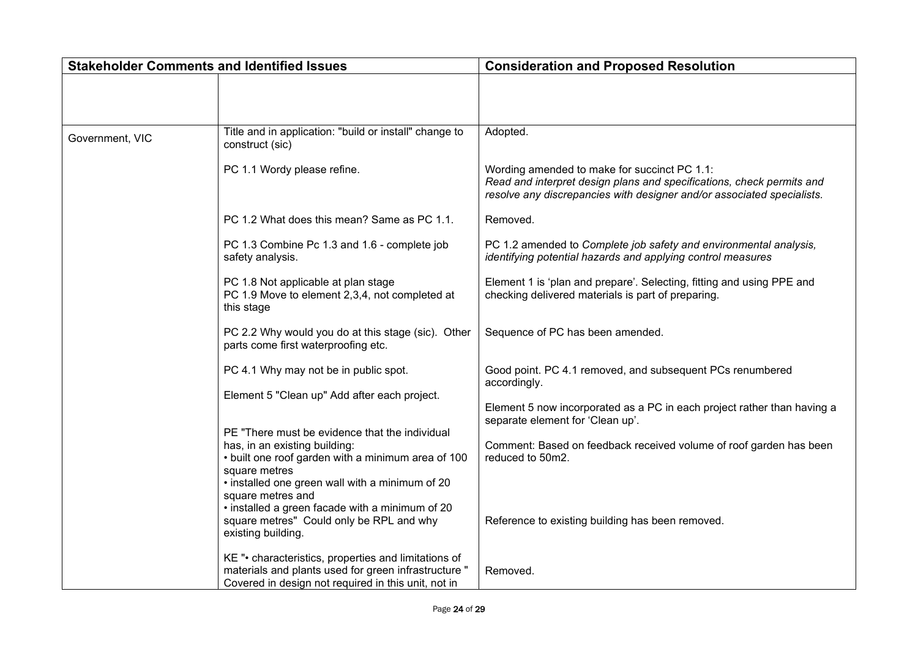| <b>Stakeholder Comments and Identified Issues</b> |                                                                                                                                                                                                           | <b>Consideration and Proposed Resolution</b>                                                                                                                                                    |
|---------------------------------------------------|-----------------------------------------------------------------------------------------------------------------------------------------------------------------------------------------------------------|-------------------------------------------------------------------------------------------------------------------------------------------------------------------------------------------------|
|                                                   |                                                                                                                                                                                                           |                                                                                                                                                                                                 |
| Government, VIC                                   | Title and in application: "build or install" change to<br>construct (sic)                                                                                                                                 | Adopted.                                                                                                                                                                                        |
|                                                   | PC 1.1 Wordy please refine.                                                                                                                                                                               | Wording amended to make for succinct PC 1.1:<br>Read and interpret design plans and specifications, check permits and<br>resolve any discrepancies with designer and/or associated specialists. |
|                                                   | PC 1.2 What does this mean? Same as PC 1.1.                                                                                                                                                               | Removed.                                                                                                                                                                                        |
|                                                   | PC 1.3 Combine Pc 1.3 and 1.6 - complete job<br>safety analysis.                                                                                                                                          | PC 1.2 amended to Complete job safety and environmental analysis,<br>identifying potential hazards and applying control measures                                                                |
|                                                   | PC 1.8 Not applicable at plan stage<br>PC 1.9 Move to element 2,3,4, not completed at<br>this stage                                                                                                       | Element 1 is 'plan and prepare'. Selecting, fitting and using PPE and<br>checking delivered materials is part of preparing.                                                                     |
|                                                   | PC 2.2 Why would you do at this stage (sic). Other<br>parts come first waterproofing etc.                                                                                                                 | Sequence of PC has been amended.                                                                                                                                                                |
|                                                   | PC 4.1 Why may not be in public spot.                                                                                                                                                                     | Good point. PC 4.1 removed, and subsequent PCs renumbered<br>accordingly.                                                                                                                       |
|                                                   | Element 5 "Clean up" Add after each project.                                                                                                                                                              | Element 5 now incorporated as a PC in each project rather than having a<br>separate element for 'Clean up'.                                                                                     |
|                                                   | PE "There must be evidence that the individual<br>has, in an existing building:<br>• built one roof garden with a minimum area of 100<br>square metres<br>• installed one green wall with a minimum of 20 | Comment: Based on feedback received volume of roof garden has been<br>reduced to 50m2.                                                                                                          |
|                                                   | square metres and<br>• installed a green facade with a minimum of 20<br>square metres" Could only be RPL and why<br>existing building.                                                                    | Reference to existing building has been removed.                                                                                                                                                |
|                                                   | KE "• characteristics, properties and limitations of<br>materials and plants used for green infrastructure "<br>Covered in design not required in this unit, not in                                       | Removed.                                                                                                                                                                                        |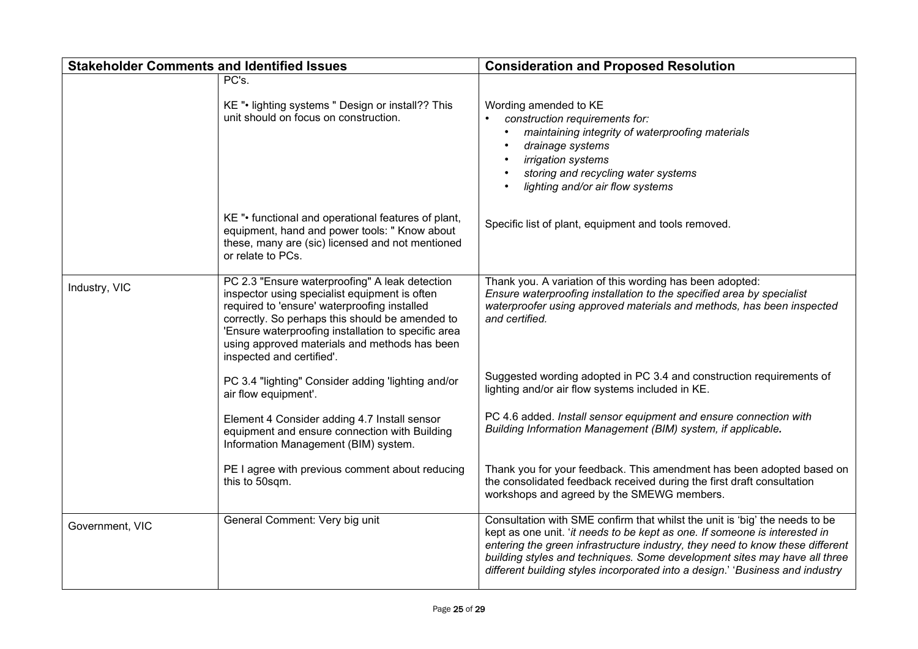| <b>Stakeholder Comments and Identified Issues</b> |                                                                                                                                                                                                                                                                                                                                         | <b>Consideration and Proposed Resolution</b>                                                                                                                                                                                                                                                                                                                                                             |
|---------------------------------------------------|-----------------------------------------------------------------------------------------------------------------------------------------------------------------------------------------------------------------------------------------------------------------------------------------------------------------------------------------|----------------------------------------------------------------------------------------------------------------------------------------------------------------------------------------------------------------------------------------------------------------------------------------------------------------------------------------------------------------------------------------------------------|
|                                                   | PC's.<br>KE ". lighting systems " Design or install?? This<br>unit should on focus on construction.                                                                                                                                                                                                                                     | Wording amended to KE<br>construction requirements for:<br>maintaining integrity of waterproofing materials<br>drainage systems<br>irrigation systems<br>storing and recycling water systems<br>lighting and/or air flow systems                                                                                                                                                                         |
|                                                   | KE "• functional and operational features of plant,<br>equipment, hand and power tools: " Know about<br>these, many are (sic) licensed and not mentioned<br>or relate to PCs.                                                                                                                                                           | Specific list of plant, equipment and tools removed.                                                                                                                                                                                                                                                                                                                                                     |
| Industry, VIC                                     | PC 2.3 "Ensure waterproofing" A leak detection<br>inspector using specialist equipment is often<br>required to 'ensure' waterproofing installed<br>correctly. So perhaps this should be amended to<br>'Ensure waterproofing installation to specific area<br>using approved materials and methods has been<br>inspected and certified'. | Thank you. A variation of this wording has been adopted:<br>Ensure waterproofing installation to the specified area by specialist<br>waterproofer using approved materials and methods, has been inspected<br>and certified.                                                                                                                                                                             |
|                                                   | PC 3.4 "lighting" Consider adding 'lighting and/or<br>air flow equipment'.                                                                                                                                                                                                                                                              | Suggested wording adopted in PC 3.4 and construction requirements of<br>lighting and/or air flow systems included in KE.                                                                                                                                                                                                                                                                                 |
|                                                   | Element 4 Consider adding 4.7 Install sensor<br>equipment and ensure connection with Building<br>Information Management (BIM) system.                                                                                                                                                                                                   | PC 4.6 added. Install sensor equipment and ensure connection with<br>Building Information Management (BIM) system, if applicable.                                                                                                                                                                                                                                                                        |
|                                                   | PE I agree with previous comment about reducing<br>this to 50sqm.                                                                                                                                                                                                                                                                       | Thank you for your feedback. This amendment has been adopted based on<br>the consolidated feedback received during the first draft consultation<br>workshops and agreed by the SMEWG members.                                                                                                                                                                                                            |
| Government, VIC                                   | General Comment: Very big unit                                                                                                                                                                                                                                                                                                          | Consultation with SME confirm that whilst the unit is 'big' the needs to be<br>kept as one unit. 'it needs to be kept as one. If someone is interested in<br>entering the green infrastructure industry, they need to know these different<br>building styles and techniques. Some development sites may have all three<br>different building styles incorporated into a design.' 'Business and industry |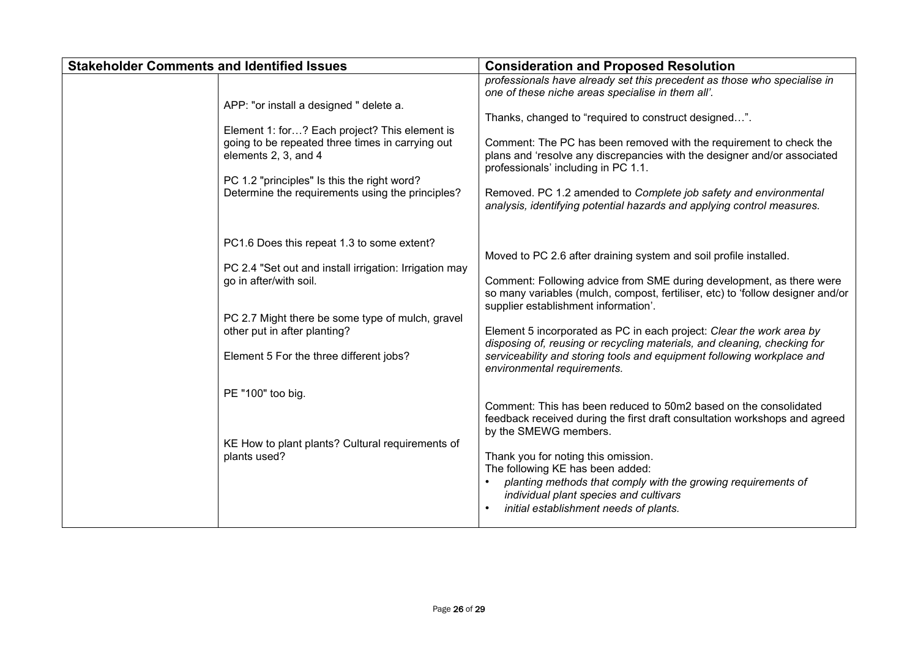| <b>Stakeholder Comments and Identified Issues</b> |                                                                                                                                                                                                                                                                                                                                                        | <b>Consideration and Proposed Resolution</b>                                                                                                                                                                                                                                                                                                                                                                                                                                                                                                                                                                                                                                                                                                                                                                                                                                                                                                |
|---------------------------------------------------|--------------------------------------------------------------------------------------------------------------------------------------------------------------------------------------------------------------------------------------------------------------------------------------------------------------------------------------------------------|---------------------------------------------------------------------------------------------------------------------------------------------------------------------------------------------------------------------------------------------------------------------------------------------------------------------------------------------------------------------------------------------------------------------------------------------------------------------------------------------------------------------------------------------------------------------------------------------------------------------------------------------------------------------------------------------------------------------------------------------------------------------------------------------------------------------------------------------------------------------------------------------------------------------------------------------|
|                                                   | APP: "or install a designed " delete a.<br>Element 1: for? Each project? This element is<br>going to be repeated three times in carrying out<br>elements 2, 3, and 4<br>PC 1.2 "principles" Is this the right word?<br>Determine the requirements using the principles?                                                                                | professionals have already set this precedent as those who specialise in<br>one of these niche areas specialise in them all'.<br>Thanks, changed to "required to construct designed".<br>Comment: The PC has been removed with the requirement to check the<br>plans and 'resolve any discrepancies with the designer and/or associated<br>professionals' including in PC 1.1.<br>Removed. PC 1.2 amended to Complete job safety and environmental<br>analysis, identifying potential hazards and applying control measures.                                                                                                                                                                                                                                                                                                                                                                                                                |
|                                                   | PC1.6 Does this repeat 1.3 to some extent?<br>PC 2.4 "Set out and install irrigation: Irrigation may<br>go in after/with soil.<br>PC 2.7 Might there be some type of mulch, gravel<br>other put in after planting?<br>Element 5 For the three different jobs?<br>PE "100" too big.<br>KE How to plant plants? Cultural requirements of<br>plants used? | Moved to PC 2.6 after draining system and soil profile installed.<br>Comment: Following advice from SME during development, as there were<br>so many variables (mulch, compost, fertiliser, etc) to 'follow designer and/or<br>supplier establishment information'.<br>Element 5 incorporated as PC in each project: Clear the work area by<br>disposing of, reusing or recycling materials, and cleaning, checking for<br>serviceability and storing tools and equipment following workplace and<br>environmental requirements.<br>Comment: This has been reduced to 50m2 based on the consolidated<br>feedback received during the first draft consultation workshops and agreed<br>by the SMEWG members.<br>Thank you for noting this omission.<br>The following KE has been added:<br>planting methods that comply with the growing requirements of<br>individual plant species and cultivars<br>initial establishment needs of plants. |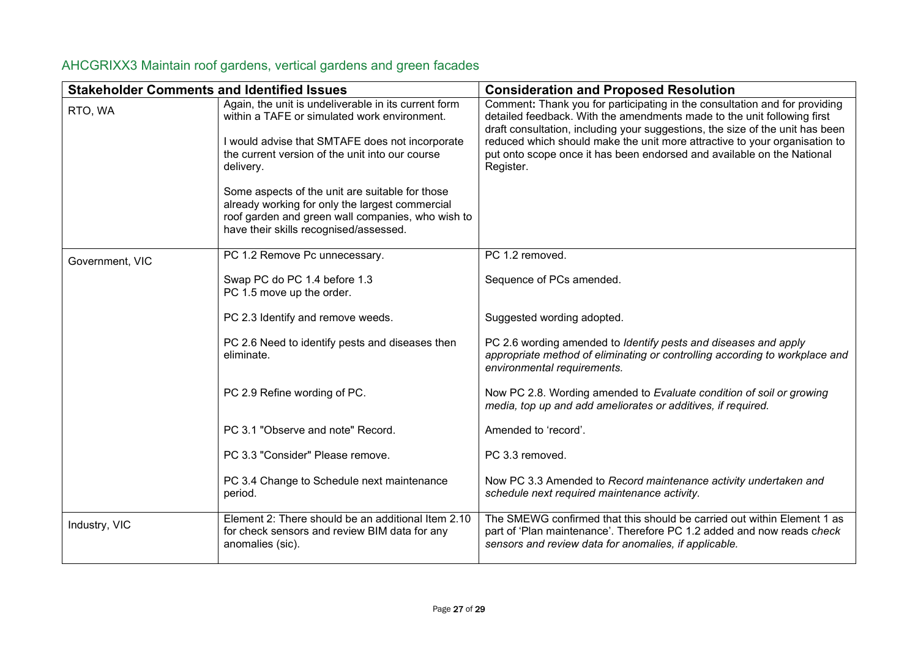| <b>Stakeholder Comments and Identified Issues</b> |                                                                                                                                                                                                                         | <b>Consideration and Proposed Resolution</b>                                                                                                                                                                                                                                                                                                                                                                |
|---------------------------------------------------|-------------------------------------------------------------------------------------------------------------------------------------------------------------------------------------------------------------------------|-------------------------------------------------------------------------------------------------------------------------------------------------------------------------------------------------------------------------------------------------------------------------------------------------------------------------------------------------------------------------------------------------------------|
| RTO, WA                                           | Again, the unit is undeliverable in its current form<br>within a TAFE or simulated work environment.<br>I would advise that SMTAFE does not incorporate<br>the current version of the unit into our course<br>delivery. | Comment: Thank you for participating in the consultation and for providing<br>detailed feedback. With the amendments made to the unit following first<br>draft consultation, including your suggestions, the size of the unit has been<br>reduced which should make the unit more attractive to your organisation to<br>put onto scope once it has been endorsed and available on the National<br>Register. |
|                                                   | Some aspects of the unit are suitable for those<br>already working for only the largest commercial<br>roof garden and green wall companies, who wish to<br>have their skills recognised/assessed.                       |                                                                                                                                                                                                                                                                                                                                                                                                             |
| Government, VIC                                   | PC 1.2 Remove Pc unnecessary.                                                                                                                                                                                           | PC 1.2 removed.                                                                                                                                                                                                                                                                                                                                                                                             |
|                                                   | Swap PC do PC 1.4 before 1.3<br>PC 1.5 move up the order.                                                                                                                                                               | Sequence of PCs amended.                                                                                                                                                                                                                                                                                                                                                                                    |
|                                                   | PC 2.3 Identify and remove weeds.                                                                                                                                                                                       | Suggested wording adopted.                                                                                                                                                                                                                                                                                                                                                                                  |
|                                                   | PC 2.6 Need to identify pests and diseases then<br>eliminate.                                                                                                                                                           | PC 2.6 wording amended to <i>Identify pests and diseases and apply</i><br>appropriate method of eliminating or controlling according to workplace and<br>environmental requirements.                                                                                                                                                                                                                        |
|                                                   | PC 2.9 Refine wording of PC.                                                                                                                                                                                            | Now PC 2.8. Wording amended to Evaluate condition of soil or growing<br>media, top up and add ameliorates or additives, if required.                                                                                                                                                                                                                                                                        |
|                                                   | PC 3.1 "Observe and note" Record.                                                                                                                                                                                       | Amended to 'record'.                                                                                                                                                                                                                                                                                                                                                                                        |
|                                                   | PC 3.3 "Consider" Please remove.                                                                                                                                                                                        | PC 3.3 removed.                                                                                                                                                                                                                                                                                                                                                                                             |
|                                                   | PC 3.4 Change to Schedule next maintenance<br>period.                                                                                                                                                                   | Now PC 3.3 Amended to Record maintenance activity undertaken and<br>schedule next required maintenance activity.                                                                                                                                                                                                                                                                                            |
| Industry, VIC                                     | Element 2: There should be an additional Item 2.10<br>for check sensors and review BIM data for any<br>anomalies (sic).                                                                                                 | The SMEWG confirmed that this should be carried out within Element 1 as<br>part of 'Plan maintenance'. Therefore PC 1.2 added and now reads check<br>sensors and review data for anomalies, if applicable.                                                                                                                                                                                                  |

## <span id="page-26-0"></span>AHCGRIXX3 Maintain roof gardens, vertical gardens and green facades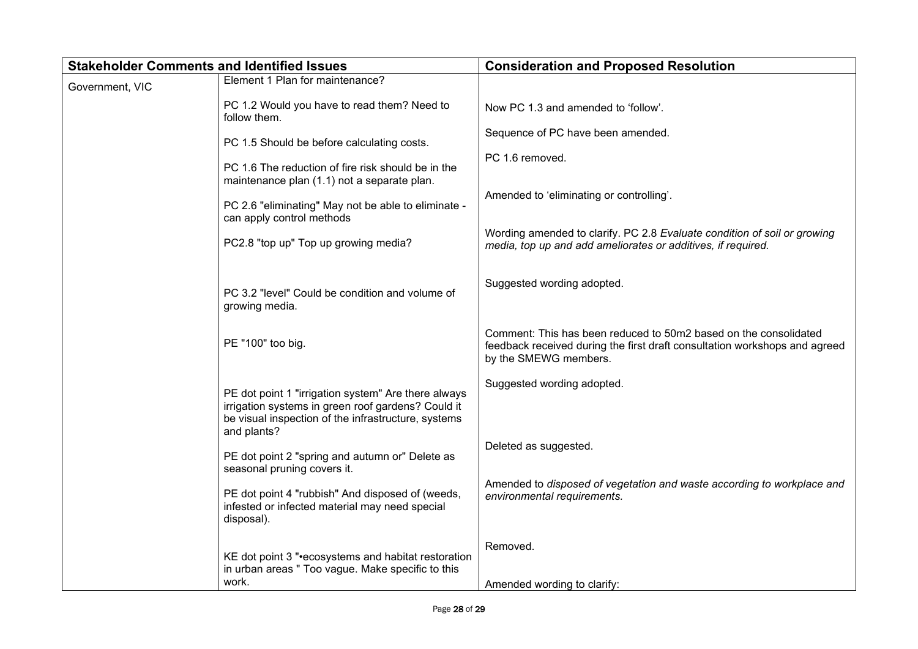| <b>Stakeholder Comments and Identified Issues</b> |                                                                                                                                                                                 | <b>Consideration and Proposed Resolution</b>                                                                                                                            |
|---------------------------------------------------|---------------------------------------------------------------------------------------------------------------------------------------------------------------------------------|-------------------------------------------------------------------------------------------------------------------------------------------------------------------------|
| Government, VIC                                   | Element 1 Plan for maintenance?                                                                                                                                                 |                                                                                                                                                                         |
|                                                   | PC 1.2 Would you have to read them? Need to<br>follow them.                                                                                                                     | Now PC 1.3 and amended to 'follow'.                                                                                                                                     |
|                                                   | PC 1.5 Should be before calculating costs.                                                                                                                                      | Sequence of PC have been amended.                                                                                                                                       |
|                                                   | PC 1.6 The reduction of fire risk should be in the<br>maintenance plan (1.1) not a separate plan.                                                                               | PC 1.6 removed.                                                                                                                                                         |
|                                                   | PC 2.6 "eliminating" May not be able to eliminate -<br>can apply control methods                                                                                                | Amended to 'eliminating or controlling'.                                                                                                                                |
|                                                   | PC2.8 "top up" Top up growing media?                                                                                                                                            | Wording amended to clarify. PC 2.8 Evaluate condition of soil or growing<br>media, top up and add ameliorates or additives, if required.                                |
|                                                   | PC 3.2 "level" Could be condition and volume of<br>growing media.                                                                                                               | Suggested wording adopted.                                                                                                                                              |
|                                                   | PE "100" too big.                                                                                                                                                               | Comment: This has been reduced to 50m2 based on the consolidated<br>feedback received during the first draft consultation workshops and agreed<br>by the SMEWG members. |
|                                                   | PE dot point 1 "irrigation system" Are there always<br>irrigation systems in green roof gardens? Could it<br>be visual inspection of the infrastructure, systems<br>and plants? | Suggested wording adopted.                                                                                                                                              |
|                                                   | PE dot point 2 "spring and autumn or" Delete as<br>seasonal pruning covers it.                                                                                                  | Deleted as suggested.                                                                                                                                                   |
|                                                   | PE dot point 4 "rubbish" And disposed of (weeds,<br>infested or infected material may need special<br>disposal).                                                                | Amended to disposed of vegetation and waste according to workplace and<br>environmental requirements.                                                                   |
|                                                   | KE dot point 3 "•ecosystems and habitat restoration<br>in urban areas " Too vague. Make specific to this                                                                        | Removed.                                                                                                                                                                |
|                                                   | work.                                                                                                                                                                           | Amended wording to clarify:                                                                                                                                             |